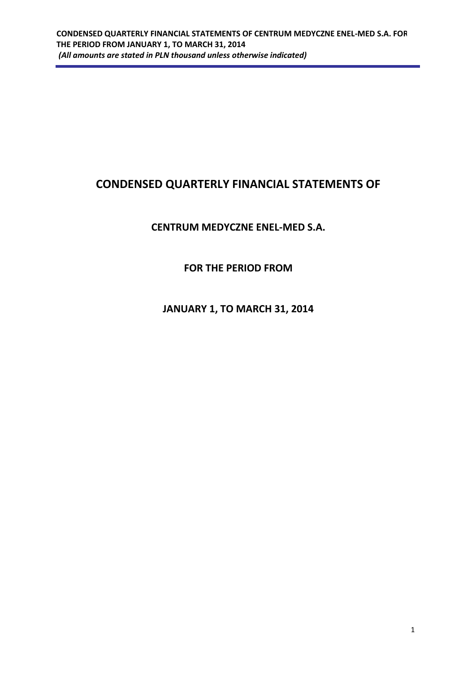# **CONDENSED QUARTERLY FINANCIAL STATEMENTS OF**

# **CENTRUM MEDYCZNE ENEL-MED S.A.**

# **FOR THE PERIOD FROM**

# **JANUARY 1, TO MARCH 31, 2014**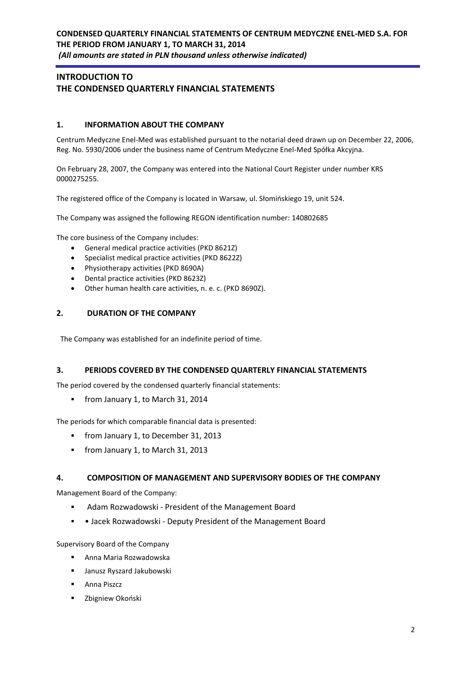## **INTRODUCTION TO THE CONDENSED QUARTERLY FINANCIAL STATEMENTS**

### **1. INFORMATION ABOUT THE COMPANY**

Centrum Medyczne Enel-Med was established pursuant to the notarial deed drawn up on December 22, 2006, Reg. No. 5930/2006 under the business name of Centrum Medyczne Enel-Med Spółka Akcyjna.

On February 28, 2007, the Company was entered into the National Court Register under number KRS 0000275255.

The registered office of the Company is located in Warsaw, ul. Słomińskiego 19, unit 524.

The Company was assigned the following REGON identification number: 140802685

The core business of the Company includes:

- General medical practice activities (PKD 8621Z)
- Specialist medical practice activities (PKD 8622Z)
- Physiotherapy activities (PKD 8690A)
- Dental practice activities (PKD 8623Z)
- Other human health care activities, n. e. c. (PKD 8690Z).

### **2. DURATION OF THE COMPANY**

The Company was established for an indefinite period of time.

#### **3. PERIODS COVERED BY THE CONDENSED QUARTERLY FINANCIAL STATEMENTS**

The period covered by the condensed quarterly financial statements:

from January 1, to March 31, 2014

The periods for which comparable financial data is presented:

- **from January 1, to December 31, 2013**
- **from January 1, to March 31, 2013**

#### **4. COMPOSITION OF MANAGEMENT AND SUPERVISORY BODIES OF THE COMPANY**

Management Board of the Company:

- Adam Rozwadowski President of the Management Board
- Jacek Rozwadowski Deputy President of the Management Board

Supervisory Board of the Company

- Anna Maria Rozwadowska
- Janusz Ryszard Jakubowski
- **Anna Piszcz**
- Zbigniew Okoński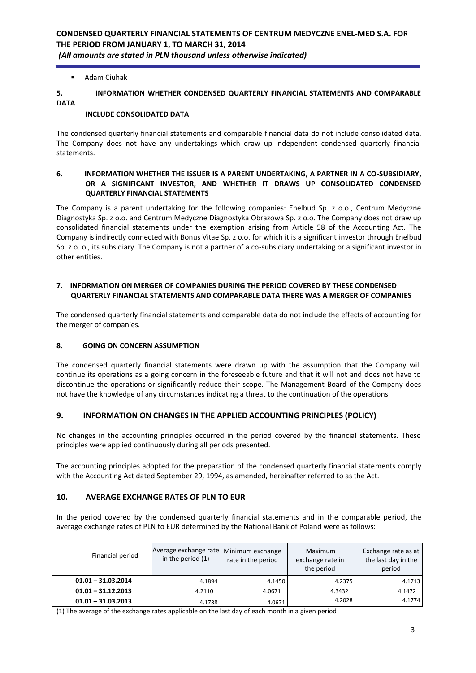### ■ Adam Ciuhak

### **5. INFORMATION WHETHER CONDENSED QUARTERLY FINANCIAL STATEMENTS AND COMPARABLE DATA**

#### **INCLUDE CONSOLIDATED DATA**

The condensed quarterly financial statements and comparable financial data do not include consolidated data. The Company does not have any undertakings which draw up independent condensed quarterly financial statements.

#### **6. INFORMATION WHETHER THE ISSUER IS A PARENT UNDERTAKING, A PARTNER IN A CO-SUBSIDIARY, OR A SIGNIFICANT INVESTOR, AND WHETHER IT DRAWS UP CONSOLIDATED CONDENSED QUARTERLY FINANCIAL STATEMENTS**

The Company is a parent undertaking for the following companies: Enelbud Sp. z o.o., Centrum Medyczne Diagnostyka Sp. z o.o. and Centrum Medyczne Diagnostyka Obrazowa Sp. z o.o. The Company does not draw up consolidated financial statements under the exemption arising from Article 58 of the Accounting Act. The Company is indirectly connected with Bonus Vitae Sp. z o.o. for which it is a significant investor through Enelbud Sp. z o. o., its subsidiary. The Company is not a partner of a co-subsidiary undertaking or a significant investor in other entities.

### **7. INFORMATION ON MERGER OF COMPANIES DURING THE PERIOD COVERED BY THESE CONDENSED QUARTERLY FINANCIAL STATEMENTS AND COMPARABLE DATA THERE WAS A MERGER OF COMPANIES**

The condensed quarterly financial statements and comparable data do not include the effects of accounting for the merger of companies.

#### **8. GOING ON CONCERN ASSUMPTION**

The condensed quarterly financial statements were drawn up with the assumption that the Company will continue its operations as a going concern in the foreseeable future and that it will not and does not have to discontinue the operations or significantly reduce their scope. The Management Board of the Company does not have the knowledge of any circumstances indicating a threat to the continuation of the operations.

### **9. INFORMATION ON CHANGES IN THE APPLIED ACCOUNTING PRINCIPLES (POLICY)**

No changes in the accounting principles occurred in the period covered by the financial statements. These principles were applied continuously during all periods presented.

The accounting principles adopted for the preparation of the condensed quarterly financial statements comply with the Accounting Act dated September 29, 1994, as amended, hereinafter referred to as the Act.

### **10. AVERAGE EXCHANGE RATES OF PLN TO EUR**

In the period covered by the condensed quarterly financial statements and in the comparable period, the average exchange rates of PLN to EUR determined by the National Bank of Poland were as follows:

| Financial period     | Average exchange rate<br>in the period (1) | Minimum exchange<br>rate in the period | Maximum<br>exchange rate in<br>the period | Exchange rate as at<br>the last day in the<br>period |
|----------------------|--------------------------------------------|----------------------------------------|-------------------------------------------|------------------------------------------------------|
| $01.01 - 31.03.2014$ | 4.1894                                     | 4.1450                                 | 4.2375                                    | 4.1713                                               |
| $01.01 - 31.12.2013$ | 4.2110                                     | 4.0671                                 | 4.3432                                    | 4.1472                                               |
| $01.01 - 31.03.2013$ | 4.1738                                     | 4.0671                                 | 4.2028                                    | 4.1774                                               |

(1) The average of the exchange rates applicable on the last day of each month in a given period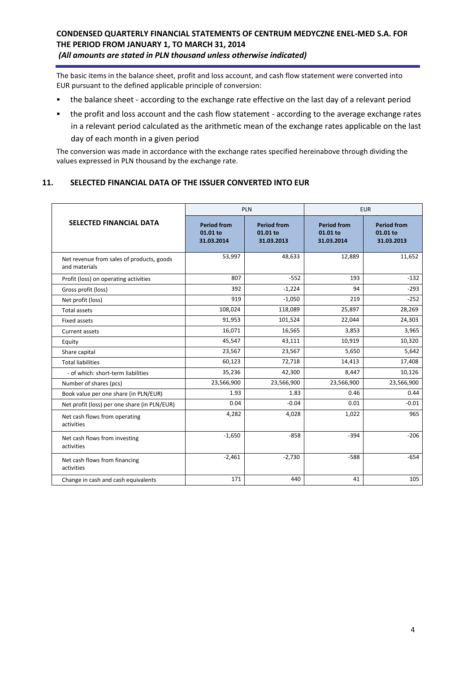The basic items in the balance sheet, profit and loss account, and cash flow statement were converted into EUR pursuant to the defined applicable principle of conversion:

- the balance sheet according to the exchange rate effective on the last day of a relevant period
- the profit and loss account and the cash flow statement according to the average exchange rates in a relevant period calculated as the arithmetic mean of the exchange rates applicable on the last day of each month in a given period

The conversion was made in accordance with the exchange rates specified hereinabove through dividing the values expressed in PLN thousand by the exchange rate.

### **11. SELECTED FINANCIAL DATA OF THE ISSUER CONVERTED INTO EUR**

|                                                            |                                              | PLN                                          | <b>EUR</b>                                   |                                              |
|------------------------------------------------------------|----------------------------------------------|----------------------------------------------|----------------------------------------------|----------------------------------------------|
| <b>SELECTED FINANCIAL DATA</b>                             | <b>Period from</b><br>01.01 to<br>31.03.2014 | <b>Period from</b><br>01.01 to<br>31.03.2013 | <b>Period from</b><br>01.01 to<br>31.03.2014 | <b>Period from</b><br>01.01 to<br>31.03.2013 |
| Net revenue from sales of products, goods<br>and materials | 53,997                                       | 48,633                                       | 12,889                                       | 11,652                                       |
| Profit (loss) on operating activities                      | 807                                          | $-552$                                       | 193                                          | $-132$                                       |
| Gross profit (loss)                                        | 392                                          | $-1,224$                                     | 94                                           | $-293$                                       |
| Net profit (loss)                                          | 919                                          | $-1,050$                                     | 219                                          | $-252$                                       |
| <b>Total assets</b>                                        | 108,024                                      | 118,089                                      | 25,897                                       | 28,269                                       |
| Fixed assets                                               | 91,953                                       | 101,524                                      | 22,044                                       | 24,303                                       |
| Current assets                                             | 16,071                                       | 16,565                                       | 3,853                                        | 3,965                                        |
| Equity                                                     | 45,547                                       | 43,111                                       | 10,919                                       | 10,320                                       |
| Share capital                                              | 23,567                                       | 23,567                                       | 5,650                                        | 5,642                                        |
| <b>Total liabilities</b>                                   | 60,123                                       | 72,718                                       | 14,413                                       | 17,408                                       |
| - of which: short-term liabilities                         | 35,236                                       | 42,300                                       | 8,447                                        | 10,126                                       |
| Number of shares (pcs)                                     | 23,566,900                                   | 23,566,900                                   | 23,566,900                                   | 23,566,900                                   |
| Book value per one share (in PLN/EUR)                      | 1.93                                         | 1.83                                         | 0.46                                         | 0.44                                         |
| Net profit (loss) per one share (in PLN/EUR)               | 0.04                                         | $-0.04$                                      | 0.01                                         | $-0.01$                                      |
| Net cash flows from operating<br>activities                | 4,282                                        | 4,028                                        | 1,022                                        | 965                                          |
| Net cash flows from investing<br>activities                | $-1,650$                                     | $-858$                                       | $-394$                                       | $-206$                                       |
| Net cash flows from financing<br>activities                | $-2,461$                                     | $-2,730$                                     | $-588$                                       | $-654$                                       |
| Change in cash and cash equivalents                        | 171                                          | 440                                          | 41                                           | 105                                          |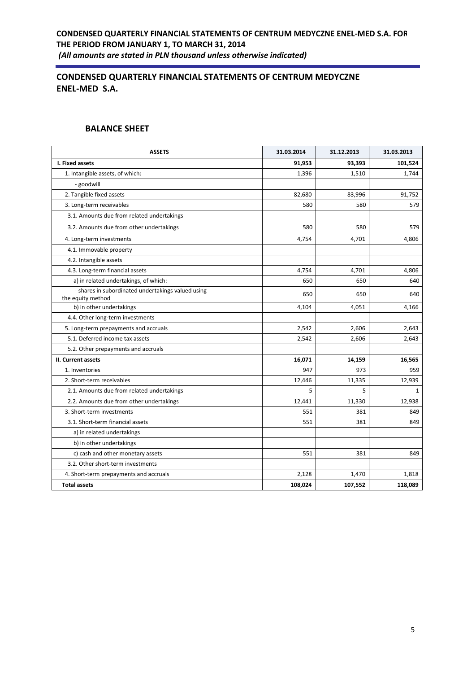# **CONDENSED QUARTERLY FINANCIAL STATEMENTS OF CENTRUM MEDYCZNE ENEL-MED S.A.**

## **BALANCE SHEET**

| <b>ASSETS</b>                                                           | 31.03.2014 | 31.12.2013 | 31.03.2013   |
|-------------------------------------------------------------------------|------------|------------|--------------|
| I. Fixed assets                                                         | 91,953     | 93,393     | 101,524      |
| 1. Intangible assets, of which:                                         | 1,396      | 1,510      | 1,744        |
| - goodwill                                                              |            |            |              |
| 2. Tangible fixed assets                                                | 82,680     | 83,996     | 91,752       |
| 3. Long-term receivables                                                | 580        | 580        | 579          |
| 3.1. Amounts due from related undertakings                              |            |            |              |
| 3.2. Amounts due from other undertakings                                | 580        | 580        | 579          |
| 4. Long-term investments                                                | 4,754      | 4,701      | 4,806        |
| 4.1. Immovable property                                                 |            |            |              |
| 4.2. Intangible assets                                                  |            |            |              |
| 4.3. Long-term financial assets                                         | 4,754      | 4,701      | 4,806        |
| a) in related undertakings, of which:                                   | 650        | 650        | 640          |
| - shares in subordinated undertakings valued using<br>the equity method | 650        | 650        | 640          |
| b) in other undertakings                                                | 4,104      | 4,051      | 4,166        |
| 4.4. Other long-term investments                                        |            |            |              |
| 5. Long-term prepayments and accruals                                   | 2,542      | 2,606      | 2,643        |
| 5.1. Deferred income tax assets                                         | 2,542      | 2,606      | 2,643        |
| 5.2. Other prepayments and accruals                                     |            |            |              |
| II. Current assets                                                      | 16,071     | 14,159     | 16,565       |
| 1. Inventories                                                          | 947        | 973        | 959          |
| 2. Short-term receivables                                               | 12,446     | 11,335     | 12,939       |
| 2.1. Amounts due from related undertakings                              | 5          | 5          | $\mathbf{1}$ |
| 2.2. Amounts due from other undertakings                                | 12,441     | 11,330     | 12,938       |
| 3. Short-term investments                                               | 551        | 381        | 849          |
| 3.1. Short-term financial assets                                        | 551        | 381        | 849          |
| a) in related undertakings                                              |            |            |              |
| b) in other undertakings                                                |            |            |              |
| c) cash and other monetary assets                                       | 551        | 381        | 849          |
| 3.2. Other short-term investments                                       |            |            |              |
| 4. Short-term prepayments and accruals                                  | 2,128      | 1,470      | 1,818        |
| <b>Total assets</b>                                                     | 108,024    | 107,552    | 118,089      |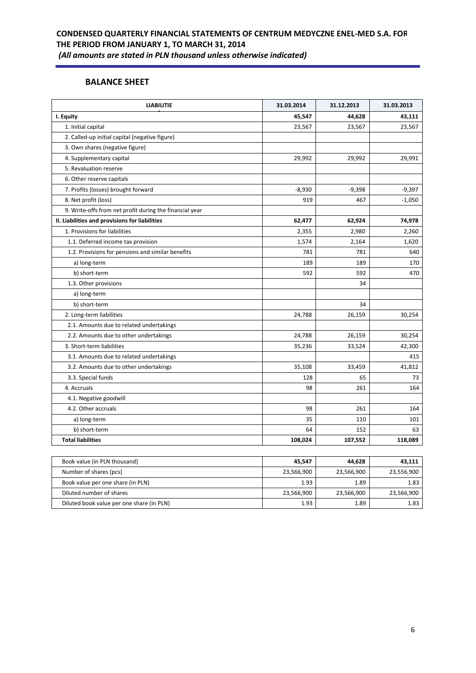## **BALANCE SHEET**

| I. Equity<br>45,547<br>44,628<br>1. Initial capital<br>23,567<br>23,567<br>2. Called-up initial capital (negative figure)<br>3. Own shares (negative figure)<br>4. Supplementary capital<br>29,992<br>29,992<br>5. Revaluation reserve<br>6. Other reserve capitals<br>7. Profits (losses) brought forward<br>$-8,930$<br>$-9,398$<br>8. Net profit (loss)<br>919<br>467<br>9. Write-offs from net profit during the financial year<br>II. Liabilities and provisions for liabilities<br>62,477<br>62,924<br>1. Provisions for liabilities<br>2,980<br>2,355<br>1.1. Deferred income tax provision<br>1,574<br>2,164<br>1.2. Provisions for pensions and similar benefits<br>781<br>781<br>189<br>189<br>a) long-term<br>b) short-term<br>592<br>592<br>1.3. Other provisions<br>34<br>a) long-term<br>b) short-term<br>34<br>2. Long-term liabilities<br>24,788<br>26,159<br>2.1. Amounts due to related undertakings<br>24,788<br>26,159<br>2.2. Amounts due to other undertakings<br>3. Short-term liabilities<br>35,236<br>33,524<br>3.1. Amounts due to related undertakings<br>3.2. Amounts due to other undertakings<br>35,108<br>33,459<br>65<br>3.3. Special funds<br>128<br>4. Accruals<br>98<br>261<br>4.1. Negative goodwill<br>4.2. Other accruals<br>98<br>261<br>a) long-term<br>35<br>110<br>64<br>b) short-term<br>152<br><b>Total liabilities</b><br>108,024<br>107,552 | <b>LIABILITIE</b> | 31.03.2014 | 31.12.2013 | 31.03.2013 |
|-------------------------------------------------------------------------------------------------------------------------------------------------------------------------------------------------------------------------------------------------------------------------------------------------------------------------------------------------------------------------------------------------------------------------------------------------------------------------------------------------------------------------------------------------------------------------------------------------------------------------------------------------------------------------------------------------------------------------------------------------------------------------------------------------------------------------------------------------------------------------------------------------------------------------------------------------------------------------------------------------------------------------------------------------------------------------------------------------------------------------------------------------------------------------------------------------------------------------------------------------------------------------------------------------------------------------------------------------------------------------------------------|-------------------|------------|------------|------------|
|                                                                                                                                                                                                                                                                                                                                                                                                                                                                                                                                                                                                                                                                                                                                                                                                                                                                                                                                                                                                                                                                                                                                                                                                                                                                                                                                                                                           |                   |            |            | 43,111     |
|                                                                                                                                                                                                                                                                                                                                                                                                                                                                                                                                                                                                                                                                                                                                                                                                                                                                                                                                                                                                                                                                                                                                                                                                                                                                                                                                                                                           |                   |            |            | 23,567     |
|                                                                                                                                                                                                                                                                                                                                                                                                                                                                                                                                                                                                                                                                                                                                                                                                                                                                                                                                                                                                                                                                                                                                                                                                                                                                                                                                                                                           |                   |            |            |            |
|                                                                                                                                                                                                                                                                                                                                                                                                                                                                                                                                                                                                                                                                                                                                                                                                                                                                                                                                                                                                                                                                                                                                                                                                                                                                                                                                                                                           |                   |            |            |            |
|                                                                                                                                                                                                                                                                                                                                                                                                                                                                                                                                                                                                                                                                                                                                                                                                                                                                                                                                                                                                                                                                                                                                                                                                                                                                                                                                                                                           |                   |            |            | 29,991     |
|                                                                                                                                                                                                                                                                                                                                                                                                                                                                                                                                                                                                                                                                                                                                                                                                                                                                                                                                                                                                                                                                                                                                                                                                                                                                                                                                                                                           |                   |            |            |            |
|                                                                                                                                                                                                                                                                                                                                                                                                                                                                                                                                                                                                                                                                                                                                                                                                                                                                                                                                                                                                                                                                                                                                                                                                                                                                                                                                                                                           |                   |            |            |            |
|                                                                                                                                                                                                                                                                                                                                                                                                                                                                                                                                                                                                                                                                                                                                                                                                                                                                                                                                                                                                                                                                                                                                                                                                                                                                                                                                                                                           |                   |            |            | $-9,397$   |
|                                                                                                                                                                                                                                                                                                                                                                                                                                                                                                                                                                                                                                                                                                                                                                                                                                                                                                                                                                                                                                                                                                                                                                                                                                                                                                                                                                                           |                   |            |            | $-1,050$   |
|                                                                                                                                                                                                                                                                                                                                                                                                                                                                                                                                                                                                                                                                                                                                                                                                                                                                                                                                                                                                                                                                                                                                                                                                                                                                                                                                                                                           |                   |            |            |            |
|                                                                                                                                                                                                                                                                                                                                                                                                                                                                                                                                                                                                                                                                                                                                                                                                                                                                                                                                                                                                                                                                                                                                                                                                                                                                                                                                                                                           |                   |            |            | 74,978     |
|                                                                                                                                                                                                                                                                                                                                                                                                                                                                                                                                                                                                                                                                                                                                                                                                                                                                                                                                                                                                                                                                                                                                                                                                                                                                                                                                                                                           |                   |            |            | 2,260      |
|                                                                                                                                                                                                                                                                                                                                                                                                                                                                                                                                                                                                                                                                                                                                                                                                                                                                                                                                                                                                                                                                                                                                                                                                                                                                                                                                                                                           |                   |            |            | 1,620      |
|                                                                                                                                                                                                                                                                                                                                                                                                                                                                                                                                                                                                                                                                                                                                                                                                                                                                                                                                                                                                                                                                                                                                                                                                                                                                                                                                                                                           |                   |            |            | 640        |
|                                                                                                                                                                                                                                                                                                                                                                                                                                                                                                                                                                                                                                                                                                                                                                                                                                                                                                                                                                                                                                                                                                                                                                                                                                                                                                                                                                                           |                   |            |            | 170        |
|                                                                                                                                                                                                                                                                                                                                                                                                                                                                                                                                                                                                                                                                                                                                                                                                                                                                                                                                                                                                                                                                                                                                                                                                                                                                                                                                                                                           |                   |            |            | 470        |
|                                                                                                                                                                                                                                                                                                                                                                                                                                                                                                                                                                                                                                                                                                                                                                                                                                                                                                                                                                                                                                                                                                                                                                                                                                                                                                                                                                                           |                   |            |            |            |
|                                                                                                                                                                                                                                                                                                                                                                                                                                                                                                                                                                                                                                                                                                                                                                                                                                                                                                                                                                                                                                                                                                                                                                                                                                                                                                                                                                                           |                   |            |            |            |
|                                                                                                                                                                                                                                                                                                                                                                                                                                                                                                                                                                                                                                                                                                                                                                                                                                                                                                                                                                                                                                                                                                                                                                                                                                                                                                                                                                                           |                   |            |            |            |
|                                                                                                                                                                                                                                                                                                                                                                                                                                                                                                                                                                                                                                                                                                                                                                                                                                                                                                                                                                                                                                                                                                                                                                                                                                                                                                                                                                                           |                   |            |            | 30,254     |
|                                                                                                                                                                                                                                                                                                                                                                                                                                                                                                                                                                                                                                                                                                                                                                                                                                                                                                                                                                                                                                                                                                                                                                                                                                                                                                                                                                                           |                   |            |            |            |
|                                                                                                                                                                                                                                                                                                                                                                                                                                                                                                                                                                                                                                                                                                                                                                                                                                                                                                                                                                                                                                                                                                                                                                                                                                                                                                                                                                                           |                   |            |            | 30,254     |
|                                                                                                                                                                                                                                                                                                                                                                                                                                                                                                                                                                                                                                                                                                                                                                                                                                                                                                                                                                                                                                                                                                                                                                                                                                                                                                                                                                                           |                   |            |            | 42,300     |
|                                                                                                                                                                                                                                                                                                                                                                                                                                                                                                                                                                                                                                                                                                                                                                                                                                                                                                                                                                                                                                                                                                                                                                                                                                                                                                                                                                                           |                   |            |            | 415        |
|                                                                                                                                                                                                                                                                                                                                                                                                                                                                                                                                                                                                                                                                                                                                                                                                                                                                                                                                                                                                                                                                                                                                                                                                                                                                                                                                                                                           |                   |            |            | 41,812     |
|                                                                                                                                                                                                                                                                                                                                                                                                                                                                                                                                                                                                                                                                                                                                                                                                                                                                                                                                                                                                                                                                                                                                                                                                                                                                                                                                                                                           |                   |            |            | 73         |
|                                                                                                                                                                                                                                                                                                                                                                                                                                                                                                                                                                                                                                                                                                                                                                                                                                                                                                                                                                                                                                                                                                                                                                                                                                                                                                                                                                                           |                   |            |            | 164        |
|                                                                                                                                                                                                                                                                                                                                                                                                                                                                                                                                                                                                                                                                                                                                                                                                                                                                                                                                                                                                                                                                                                                                                                                                                                                                                                                                                                                           |                   |            |            |            |
|                                                                                                                                                                                                                                                                                                                                                                                                                                                                                                                                                                                                                                                                                                                                                                                                                                                                                                                                                                                                                                                                                                                                                                                                                                                                                                                                                                                           |                   |            |            | 164        |
|                                                                                                                                                                                                                                                                                                                                                                                                                                                                                                                                                                                                                                                                                                                                                                                                                                                                                                                                                                                                                                                                                                                                                                                                                                                                                                                                                                                           |                   |            |            | 101        |
|                                                                                                                                                                                                                                                                                                                                                                                                                                                                                                                                                                                                                                                                                                                                                                                                                                                                                                                                                                                                                                                                                                                                                                                                                                                                                                                                                                                           |                   |            |            | 63         |
|                                                                                                                                                                                                                                                                                                                                                                                                                                                                                                                                                                                                                                                                                                                                                                                                                                                                                                                                                                                                                                                                                                                                                                                                                                                                                                                                                                                           |                   |            |            | 118,089    |

| Book value (in PLN thousand)              | 45.547     | 44.628     | 43,111     |
|-------------------------------------------|------------|------------|------------|
| Number of shares (pcs)                    | 23,566,900 | 23,566,900 | 23,556,900 |
| Book value per one share (in PLN)         | 1.93       | 1.89       | 1.83       |
| Diluted number of shares                  | 23,566,900 | 23,566,900 | 23,566,900 |
| Diluted book value per one share (in PLN) | 1.93       | 1.89       | 1.83       |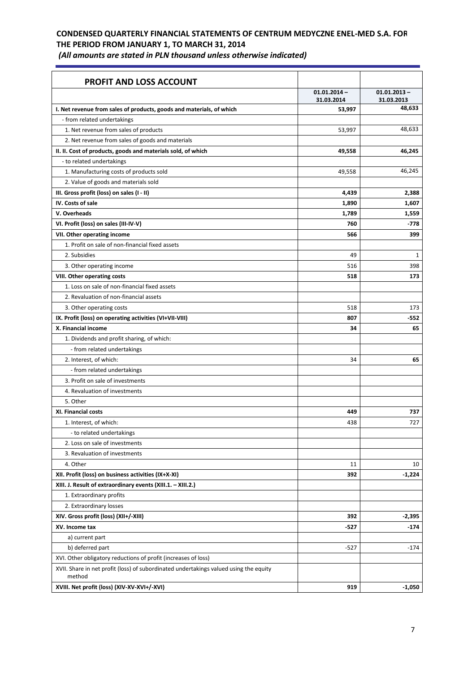| (All amounts are stated in PLN thousand unless otherwise indicated) |  |
|---------------------------------------------------------------------|--|
|---------------------------------------------------------------------|--|

| <b>PROFIT AND LOSS ACCOUNT</b>                                                                  | $01.01.2014 -$ | $01.01.2013 -$ |
|-------------------------------------------------------------------------------------------------|----------------|----------------|
|                                                                                                 | 31.03.2014     | 31.03.2013     |
| I. Net revenue from sales of products, goods and materials, of which                            | 53,997         | 48,633         |
| - from related undertakings                                                                     |                |                |
| 1. Net revenue from sales of products                                                           | 53,997         | 48,633         |
| 2. Net revenue from sales of goods and materials                                                |                |                |
| II. II. Cost of products, goods and materials sold, of which                                    | 49,558         | 46,245         |
| - to related undertakings                                                                       |                |                |
| 1. Manufacturing costs of products sold                                                         | 49,558         | 46,245         |
| 2. Value of goods and materials sold                                                            |                |                |
| III. Gross profit (loss) on sales (I - II)                                                      | 4,439          | 2,388          |
| IV. Costs of sale                                                                               | 1,890          | 1,607          |
| V. Overheads                                                                                    | 1,789          | 1,559          |
| VI. Profit (loss) on sales (III-IV-V)                                                           | 760            | $-778$         |
| VII. Other operating income                                                                     | 566            | 399            |
| 1. Profit on sale of non-financial fixed assets                                                 |                |                |
| 2. Subsidies                                                                                    | 49             | $\mathbf{1}$   |
| 3. Other operating income                                                                       | 516            | 398            |
| VIII. Other operating costs                                                                     | 518            | 173            |
| 1. Loss on sale of non-financial fixed assets                                                   |                |                |
| 2. Revaluation of non-financial assets                                                          |                |                |
| 3. Other operating costs                                                                        | 518            | 173            |
| IX. Profit (loss) on operating activities (VI+VII-VIII)                                         | 807            | -552           |
| X. Financial income                                                                             | 34             | 65             |
| 1. Dividends and profit sharing, of which:                                                      |                |                |
| - from related undertakings                                                                     |                |                |
| 2. Interest, of which:                                                                          | 34             | 65             |
| - from related undertakings                                                                     |                |                |
| 3. Profit on sale of investments                                                                |                |                |
|                                                                                                 |                |                |
| 4. Revaluation of investments                                                                   |                |                |
| 5. Other                                                                                        |                |                |
| <b>XI. Financial costs</b>                                                                      | 449            | 737            |
| 1. Interest, of which:                                                                          | 438            | 727            |
| - to related undertakings                                                                       |                |                |
| 2. Loss on sale of investments                                                                  |                |                |
| 3. Revaluation of investments                                                                   |                |                |
| 4. Other                                                                                        | 11             | 10             |
| XII. Profit (loss) on business activities (IX+X-XI)                                             | 392            | $-1,224$       |
| XIII. J. Result of extraordinary events (XIII.1. - XIII.2.)                                     |                |                |
| 1. Extraordinary profits                                                                        |                |                |
| 2. Extraordinary losses                                                                         |                |                |
| XIV. Gross profit (loss) (XII+/-XIII)                                                           | 392            | $-2,395$       |
| XV. Income tax                                                                                  | -527           | $-174$         |
| a) current part                                                                                 |                |                |
| b) deferred part                                                                                | $-527$         | $-174$         |
| XVI. Other obligatory reductions of profit (increases of loss)                                  |                |                |
| XVII. Share in net profit (loss) of subordinated undertakings valued using the equity<br>method |                |                |
| XVIII. Net profit (loss) (XIV-XV-XVI+/-XVI)                                                     | 919            | $-1,050$       |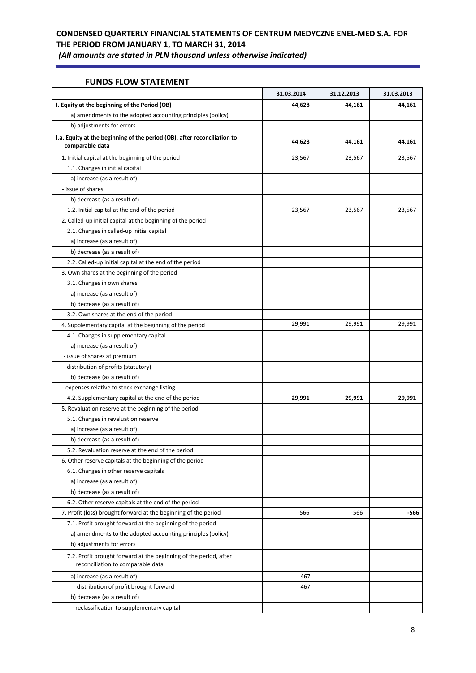### **FUNDS FLOW STATEMENT**

|                                                                                                        | 31.03.2014 | 31.12.2013 | 31.03.2013 |
|--------------------------------------------------------------------------------------------------------|------------|------------|------------|
| I. Equity at the beginning of the Period (OB)                                                          | 44,628     | 44,161     | 44,161     |
| a) amendments to the adopted accounting principles (policy)                                            |            |            |            |
| b) adjustments for errors                                                                              |            |            |            |
| I.a. Equity at the beginning of the period (OB), after reconciliation to<br>comparable data            | 44,628     | 44,161     | 44,161     |
| 1. Initial capital at the beginning of the period                                                      | 23,567     | 23,567     | 23,567     |
| 1.1. Changes in initial capital                                                                        |            |            |            |
| a) increase (as a result of)                                                                           |            |            |            |
| - issue of shares                                                                                      |            |            |            |
| b) decrease (as a result of)                                                                           |            |            |            |
| 1.2. Initial capital at the end of the period                                                          | 23,567     | 23,567     | 23,567     |
| 2. Called-up initial capital at the beginning of the period                                            |            |            |            |
| 2.1. Changes in called-up initial capital                                                              |            |            |            |
| a) increase (as a result of)                                                                           |            |            |            |
| b) decrease (as a result of)                                                                           |            |            |            |
| 2.2. Called-up initial capital at the end of the period                                                |            |            |            |
| 3. Own shares at the beginning of the period                                                           |            |            |            |
| 3.1. Changes in own shares                                                                             |            |            |            |
| a) increase (as a result of)                                                                           |            |            |            |
| b) decrease (as a result of)                                                                           |            |            |            |
| 3.2. Own shares at the end of the period                                                               |            |            |            |
| 4. Supplementary capital at the beginning of the period                                                | 29,991     | 29,991     | 29,991     |
| 4.1. Changes in supplementary capital                                                                  |            |            |            |
| a) increase (as a result of)                                                                           |            |            |            |
| - issue of shares at premium                                                                           |            |            |            |
| - distribution of profits (statutory)                                                                  |            |            |            |
| b) decrease (as a result of)                                                                           |            |            |            |
| - expenses relative to stock exchange listing                                                          |            |            |            |
| 4.2. Supplementary capital at the end of the period                                                    | 29,991     | 29,991     | 29,991     |
| 5. Revaluation reserve at the beginning of the period                                                  |            |            |            |
| 5.1. Changes in revaluation reserve                                                                    |            |            |            |
| a) increase (as a result of)                                                                           |            |            |            |
| b) decrease (as a result of)                                                                           |            |            |            |
| 5.2. Revaluation reserve at the end of the period                                                      |            |            |            |
| 6. Other reserve capitals at the beginning of the period                                               |            |            |            |
| 6.1. Changes in other reserve capitals                                                                 |            |            |            |
| a) increase (as a result of)                                                                           |            |            |            |
| b) decrease (as a result of)                                                                           |            |            |            |
| 6.2. Other reserve capitals at the end of the period                                                   |            |            |            |
| 7. Profit (loss) brought forward at the beginning of the period                                        | -566       | -566       | -566       |
| 7.1. Profit brought forward at the beginning of the period                                             |            |            |            |
| a) amendments to the adopted accounting principles (policy)                                            |            |            |            |
| b) adjustments for errors                                                                              |            |            |            |
| 7.2. Profit brought forward at the beginning of the period, after<br>reconciliation to comparable data |            |            |            |
| a) increase (as a result of)                                                                           | 467        |            |            |
| - distribution of profit brought forward                                                               | 467        |            |            |
| b) decrease (as a result of)                                                                           |            |            |            |
| - reclassification to supplementary capital                                                            |            |            |            |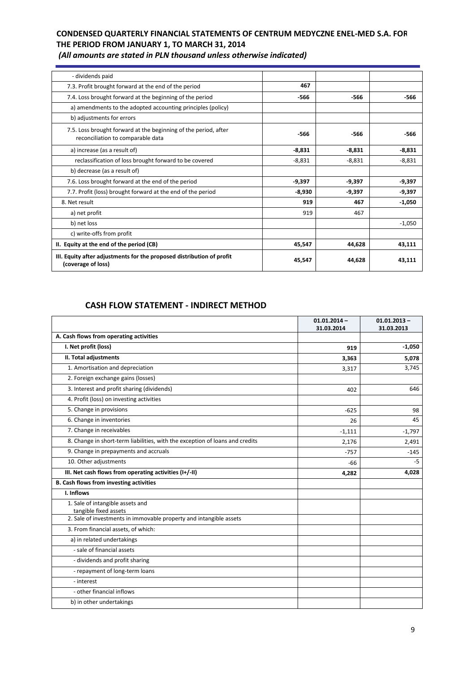| - dividends paid                                                                                     |          |          |          |
|------------------------------------------------------------------------------------------------------|----------|----------|----------|
| 7.3. Profit brought forward at the end of the period                                                 | 467      |          |          |
| 7.4. Loss brought forward at the beginning of the period                                             | -566     | -566     | -566     |
| a) amendments to the adopted accounting principles (policy)                                          |          |          |          |
| b) adjustments for errors                                                                            |          |          |          |
| 7.5. Loss brought forward at the beginning of the period, after<br>reconciliation to comparable data | -566     | -566     | -566     |
| a) increase (as a result of)                                                                         | $-8,831$ | $-8,831$ | $-8,831$ |
| reclassification of loss brought forward to be covered                                               | $-8,831$ | $-8,831$ | $-8,831$ |
| b) decrease (as a result of)                                                                         |          |          |          |
| 7.6. Loss brought forward at the end of the period                                                   | $-9,397$ | $-9,397$ | $-9,397$ |
| 7.7. Profit (loss) brought forward at the end of the period                                          | $-8,930$ | $-9,397$ | $-9,397$ |
| 8. Net result                                                                                        | 919      | 467      | $-1,050$ |
| a) net profit                                                                                        | 919      | 467      |          |
| b) net loss                                                                                          |          |          | $-1,050$ |
| c) write-offs from profit                                                                            |          |          |          |
| II. Equity at the end of the period (CB)                                                             | 45,547   | 44,628   | 43,111   |
| III. Equity after adjustments for the proposed distribution of profit<br>(coverage of loss)          | 45,547   | 44,628   | 43,111   |

*(All amounts are stated in PLN thousand unless otherwise indicated)*

## **CASH FLOW STATEMENT - INDIRECT METHOD**

|                                                                                             | $01.01.2014 -$<br>31.03.2014 | $01.01.2013 -$<br>31.03.2013 |
|---------------------------------------------------------------------------------------------|------------------------------|------------------------------|
| A. Cash flows from operating activities                                                     |                              |                              |
| I. Net profit (loss)                                                                        | 919                          | $-1,050$                     |
| II. Total adjustments                                                                       | 3,363                        | 5,078                        |
| 1. Amortisation and depreciation                                                            | 3,317                        | 3,745                        |
| 2. Foreign exchange gains (losses)                                                          |                              |                              |
| 3. Interest and profit sharing (dividends)                                                  | 402                          | 646                          |
| 4. Profit (loss) on investing activities                                                    |                              |                              |
| 5. Change in provisions                                                                     | $-625$                       | 98                           |
| 6. Change in inventories                                                                    | 26                           | 45                           |
| 7. Change in receivables                                                                    | $-1,111$                     | $-1,797$                     |
| 8. Change in short-term liabilities, with the exception of loans and credits                | 2,176                        | 2,491                        |
| 9. Change in prepayments and accruals                                                       | $-757$                       | $-145$                       |
| 10. Other adjustments                                                                       | $-66$                        | -5                           |
| III. Net cash flows from operating activities (I+/-II)                                      | 4,282                        | 4,028                        |
| <b>B. Cash flows from investing activities</b>                                              |                              |                              |
| I. Inflows                                                                                  |                              |                              |
| 1. Sale of intangible assets and                                                            |                              |                              |
| tangible fixed assets<br>2. Sale of investments in immovable property and intangible assets |                              |                              |
| 3. From financial assets, of which:                                                         |                              |                              |
| a) in related undertakings                                                                  |                              |                              |
| - sale of financial assets                                                                  |                              |                              |
| - dividends and profit sharing                                                              |                              |                              |
| - repayment of long-term loans                                                              |                              |                              |
| - interest                                                                                  |                              |                              |
| - other financial inflows                                                                   |                              |                              |
|                                                                                             |                              |                              |
| b) in other undertakings                                                                    |                              |                              |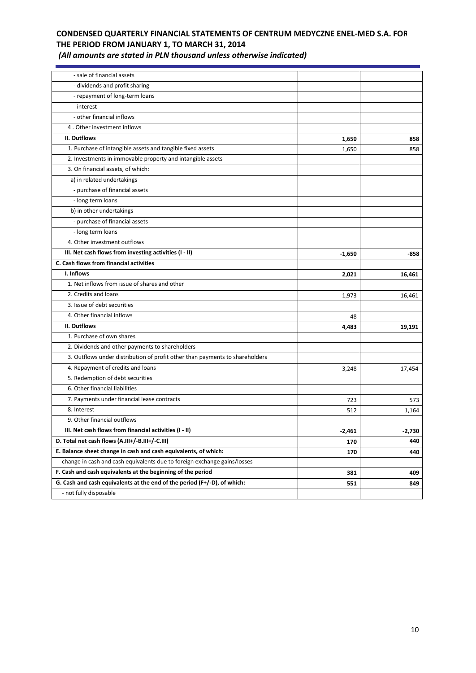*(All amounts are stated in PLN thousand unless otherwise indicated)*

| - sale of financial assets                                                   |          |          |
|------------------------------------------------------------------------------|----------|----------|
| - dividends and profit sharing                                               |          |          |
| - repayment of long-term loans                                               |          |          |
| - interest                                                                   |          |          |
| - other financial inflows                                                    |          |          |
| 4. Other investment inflows                                                  |          |          |
| II. Outflows                                                                 | 1,650    | 858      |
| 1. Purchase of intangible assets and tangible fixed assets                   | 1,650    | 858      |
| 2. Investments in immovable property and intangible assets                   |          |          |
| 3. On financial assets, of which:                                            |          |          |
| a) in related undertakings                                                   |          |          |
| - purchase of financial assets                                               |          |          |
| - long term loans                                                            |          |          |
| b) in other undertakings                                                     |          |          |
| - purchase of financial assets                                               |          |          |
| - long term loans                                                            |          |          |
| 4. Other investment outflows                                                 |          |          |
| III. Net cash flows from investing activities (I - II)                       | $-1,650$ | -858     |
| C. Cash flows from financial activities                                      |          |          |
| I. Inflows                                                                   | 2,021    | 16,461   |
| 1. Net inflows from issue of shares and other                                |          |          |
| 2. Credits and loans                                                         | 1,973    | 16,461   |
| 3. Issue of debt securities                                                  |          |          |
| 4. Other financial inflows                                                   | 48       |          |
| II. Outflows                                                                 | 4,483    | 19,191   |
| 1. Purchase of own shares                                                    |          |          |
| 2. Dividends and other payments to shareholders                              |          |          |
| 3. Outflows under distribution of profit other than payments to shareholders |          |          |
| 4. Repayment of credits and loans                                            | 3,248    | 17,454   |
| 5. Redemption of debt securities                                             |          |          |
| 6. Other financial liabilities                                               |          |          |
| 7. Payments under financial lease contracts                                  | 723      | 573      |
| 8. Interest                                                                  | 512      | 1,164    |
| 9. Other financial outflows                                                  |          |          |
| III. Net cash flows from financial activities (I - II)                       | $-2,461$ | $-2,730$ |
| D. Total net cash flows (A.III+/-B.III+/-C.III)                              | 170      | 440      |
| E. Balance sheet change in cash and cash equivalents, of which:              | 170      | 440      |
| change in cash and cash equivalents due to foreign exchange gains/losses     |          |          |
| F. Cash and cash equivalents at the beginning of the period                  | 381      | 409      |
| G. Cash and cash equivalents at the end of the period (F+/-D), of which:     | 551      | 849      |
| - not fully disposable                                                       |          |          |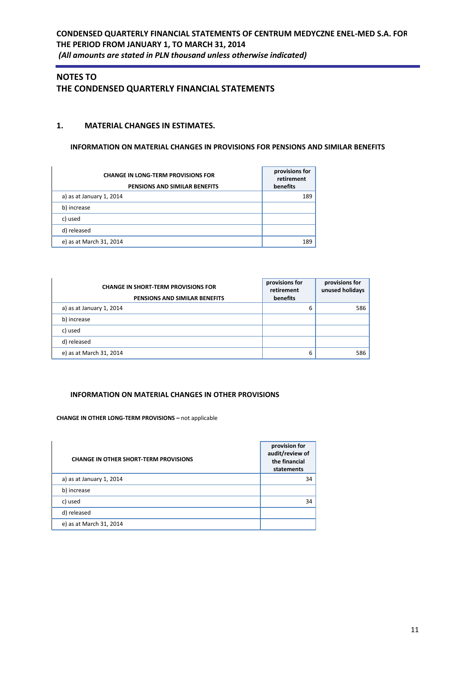## **NOTES TO THE CONDENSED QUARTERLY FINANCIAL STATEMENTS**

### **1. MATERIAL CHANGES IN ESTIMATES.**

### **INFORMATION ON MATERIAL CHANGES IN PROVISIONS FOR PENSIONS AND SIMILAR BENEFITS**

| <b>CHANGE IN LONG-TERM PROVISIONS FOR</b><br>PENSIONS AND SIMILAR BENEFITS | provisions for<br>retirement<br>benefits |
|----------------------------------------------------------------------------|------------------------------------------|
| a) as at January 1, 2014                                                   | 189                                      |
| b) increase                                                                |                                          |
| c) used                                                                    |                                          |
| d) released                                                                |                                          |
| e) as at March 31, 2014                                                    | 189                                      |

| <b>CHANGE IN SHORT-TERM PROVISIONS FOR</b><br>PENSIONS AND SIMILAR BENEFITS | provisions for<br>retirement<br>benefits | provisions for<br>unused holidays |
|-----------------------------------------------------------------------------|------------------------------------------|-----------------------------------|
| a) as at January 1, 2014                                                    | 6                                        | 586                               |
| b) increase                                                                 |                                          |                                   |
| c) used                                                                     |                                          |                                   |
| d) released                                                                 |                                          |                                   |
| e) as at March 31, 2014                                                     | 6                                        | 586                               |

#### **INFORMATION ON MATERIAL CHANGES IN OTHER PROVISIONS**

#### **CHANGE IN OTHER LONG-TERM PROVISIONS –** not applicable

| <b>CHANGE IN OTHER SHORT-TERM PROVISIONS</b> | provision for<br>audit/review of<br>the financial<br>statements |
|----------------------------------------------|-----------------------------------------------------------------|
| a) as at January 1, 2014                     | 34                                                              |
| b) increase                                  |                                                                 |
| c) used                                      | 34                                                              |
| d) released                                  |                                                                 |
| e) as at March 31, 2014                      |                                                                 |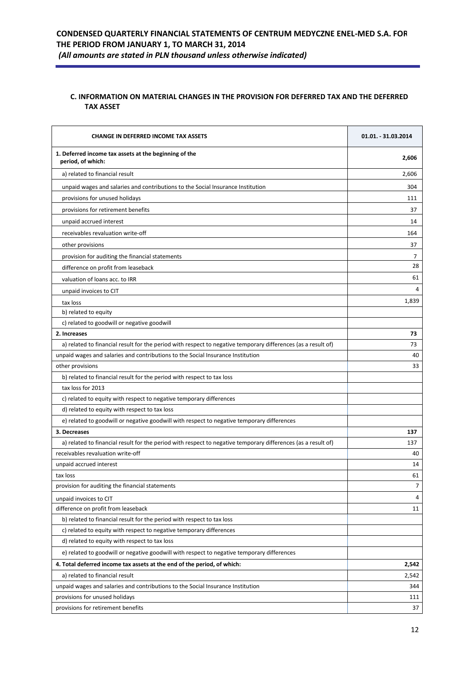### **C. INFORMATION ON MATERIAL CHANGES IN THE PROVISION FOR DEFERRED TAX AND THE DEFERRED TAX ASSET**

| <b>CHANGE IN DEFERRED INCOME TAX ASSETS</b>                                                                   | 01.01. - 31.03.2014 |
|---------------------------------------------------------------------------------------------------------------|---------------------|
| 1. Deferred income tax assets at the beginning of the<br>period, of which:                                    | 2,606               |
| a) related to financial result                                                                                | 2,606               |
| unpaid wages and salaries and contributions to the Social Insurance Institution                               | 304                 |
| provisions for unused holidays                                                                                | 111                 |
| provisions for retirement benefits                                                                            | 37                  |
| unpaid accrued interest                                                                                       | 14                  |
| receivables revaluation write-off                                                                             | 164                 |
| other provisions                                                                                              | 37                  |
| provision for auditing the financial statements                                                               | 7                   |
| difference on profit from leaseback                                                                           | 28                  |
| valuation of loans acc. to IRR                                                                                | 61                  |
| unpaid invoices to CIT                                                                                        | 4                   |
| tax loss                                                                                                      | 1,839               |
| b) related to equity                                                                                          |                     |
| c) related to goodwill or negative goodwill                                                                   |                     |
| 2. Increases                                                                                                  | 73                  |
| a) related to financial result for the period with respect to negative temporary differences (as a result of) | 73                  |
| unpaid wages and salaries and contributions to the Social Insurance Institution                               | 40                  |
| other provisions                                                                                              | 33                  |
| b) related to financial result for the period with respect to tax loss                                        |                     |
| tax loss for 2013                                                                                             |                     |
| c) related to equity with respect to negative temporary differences                                           |                     |
| d) related to equity with respect to tax loss                                                                 |                     |
| e) related to goodwill or negative goodwill with respect to negative temporary differences                    |                     |
| 3. Decreases                                                                                                  | 137                 |
| a) related to financial result for the period with respect to negative temporary differences (as a result of) | 137                 |
| receivables revaluation write-off                                                                             | 40                  |
| unpaid accrued interest                                                                                       | 14                  |
| tax loss                                                                                                      | 61                  |
| provision for auditing the financial statements                                                               | 7                   |
| unpaid invoices to CIT                                                                                        | 4                   |
| difference on profit from leaseback                                                                           | 11                  |
| b) related to financial result for the period with respect to tax loss                                        |                     |
| c) related to equity with respect to negative temporary differences                                           |                     |
| d) related to equity with respect to tax loss                                                                 |                     |
| e) related to goodwill or negative goodwill with respect to negative temporary differences                    |                     |
| 4. Total deferred income tax assets at the end of the period, of which:                                       | 2,542               |
| a) related to financial result                                                                                | 2,542               |
| unpaid wages and salaries and contributions to the Social Insurance Institution                               | 344                 |
| provisions for unused holidays                                                                                | 111                 |
| provisions for retirement benefits                                                                            | 37                  |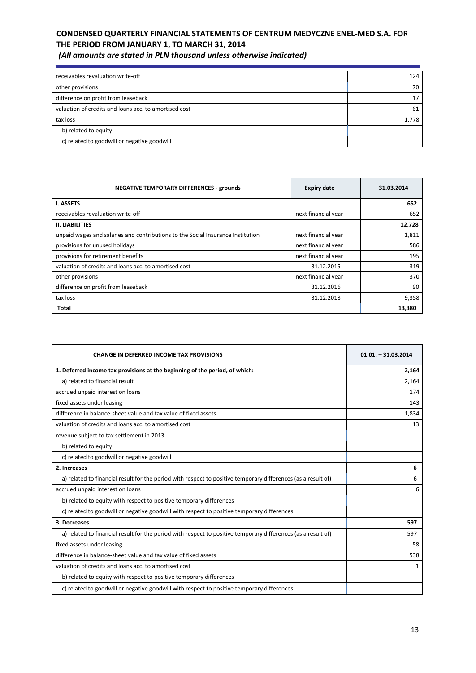| (All amounts are stated in PLN thousand unless otherwise indicated) |  |  |
|---------------------------------------------------------------------|--|--|
|---------------------------------------------------------------------|--|--|

| 124   |
|-------|
| 70    |
| 17    |
| 61    |
| 1.778 |
|       |
|       |
|       |

| <b>NEGATIVE TEMPORARY DIFFERENCES - grounds</b>                                 | <b>Expiry date</b>  | 31.03.2014 |
|---------------------------------------------------------------------------------|---------------------|------------|
| <b>I. ASSETS</b>                                                                |                     | 652        |
| receivables revaluation write-off                                               | next financial year | 652        |
| <b>II. LIABILITIES</b>                                                          |                     | 12,728     |
| unpaid wages and salaries and contributions to the Social Insurance Institution | next financial year | 1,811      |
| provisions for unused holidays                                                  | next financial year | 586        |
| provisions for retirement benefits                                              | next financial year | 195        |
| valuation of credits and loans acc. to amortised cost                           | 31.12.2015          | 319        |
| other provisions                                                                | next financial year | 370        |
| difference on profit from leaseback                                             | 31.12.2016          | 90         |
| tax loss                                                                        | 31.12.2018          | 9,358      |
| Total                                                                           |                     | 13,380     |

| <b>CHANGE IN DEFERRED INCOME TAX PROVISIONS</b>                                                               | $01.01. - 31.03.2014$ |
|---------------------------------------------------------------------------------------------------------------|-----------------------|
| 1. Deferred income tax provisions at the beginning of the period, of which:                                   | 2,164                 |
| a) related to financial result                                                                                | 2,164                 |
| accrued unpaid interest on loans                                                                              | 174                   |
| fixed assets under leasing                                                                                    | 143                   |
| difference in balance-sheet value and tax value of fixed assets                                               | 1,834                 |
| valuation of credits and loans acc. to amortised cost                                                         | 13                    |
| revenue subject to tax settlement in 2013                                                                     |                       |
| b) related to equity                                                                                          |                       |
| c) related to goodwill or negative goodwill                                                                   |                       |
| 2. Increases                                                                                                  | 6                     |
| a) related to financial result for the period with respect to positive temporary differences (as a result of) | 6                     |
| accrued unpaid interest on loans                                                                              | 6                     |
| b) related to equity with respect to positive temporary differences                                           |                       |
| c) related to goodwill or negative goodwill with respect to positive temporary differences                    |                       |
| 3. Decreases                                                                                                  | 597                   |
| a) related to financial result for the period with respect to positive temporary differences (as a result of) | 597                   |
| fixed assets under leasing                                                                                    | 58                    |
| difference in balance-sheet value and tax value of fixed assets                                               | 538                   |
| valuation of credits and loans acc. to amortised cost                                                         | $\mathbf{1}$          |
| b) related to equity with respect to positive temporary differences                                           |                       |
| c) related to goodwill or negative goodwill with respect to positive temporary differences                    |                       |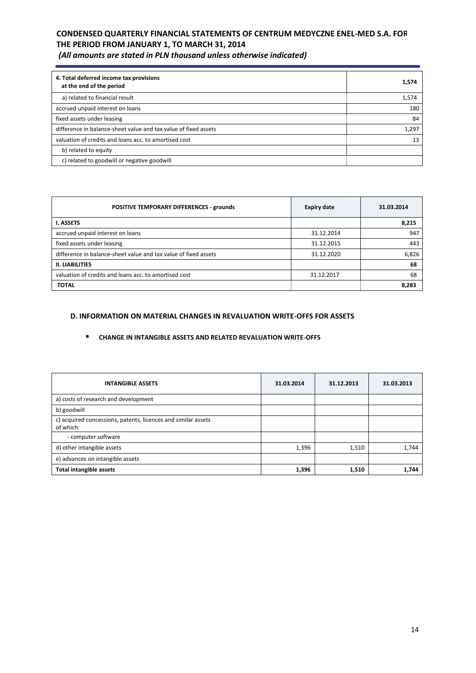| 4. Total deferred income tax provisions<br>at the end of the period | 1,574 |
|---------------------------------------------------------------------|-------|
| a) related to financial result                                      | 1,574 |
| accrued unpaid interest on loans                                    | 180   |
| fixed assets under leasing                                          | 84    |
| difference in balance-sheet value and tax value of fixed assets     | 1,297 |
| valuation of credits and loans acc. to amortised cost               | 13    |
| b) related to equity                                                |       |
| c) related to goodwill or negative goodwill                         |       |

| POSITIVE TEMPORARY DIFFERENCES - grounds                        | <b>Expiry date</b> | 31.03.2014 |
|-----------------------------------------------------------------|--------------------|------------|
| <b>I. ASSETS</b>                                                |                    | 8,215      |
| accrued unpaid interest on loans                                | 31.12.2014         | 947        |
| fixed assets under leasing                                      | 31.12.2015         | 443        |
| difference in balance-sheet value and tax value of fixed assets | 31.12.2020         | 6,826      |
| <b>II. LIABILITIES</b>                                          |                    | 68         |
| valuation of credits and loans acc. to amortised cost           | 31.12.2017         | 68         |
| <b>TOTAL</b>                                                    |                    | 8,283      |

### **D. INFORMATION ON MATERIAL CHANGES IN REVALUATION WRITE-OFFS FOR ASSETS**

#### **CHANGE IN INTANGIBLE ASSETS AND RELATED REVALUATION WRITE-OFFS**

| <b>INTANGIBLE ASSETS</b>                                                   | 31.03.2014 | 31.12.2013 | 31.03.2013 |
|----------------------------------------------------------------------------|------------|------------|------------|
| a) costs of research and development                                       |            |            |            |
| b) goodwill                                                                |            |            |            |
| c) acquired concessions, patents, licences and similar assets<br>of which: |            |            |            |
| - computer software                                                        |            |            |            |
| d) other intangible assets                                                 | 1,396      | 1,510      | 1,744      |
| e) advances on intangible assets                                           |            |            |            |
| <b>Total intangible assets</b>                                             | 1,396      | 1,510      | 1,744      |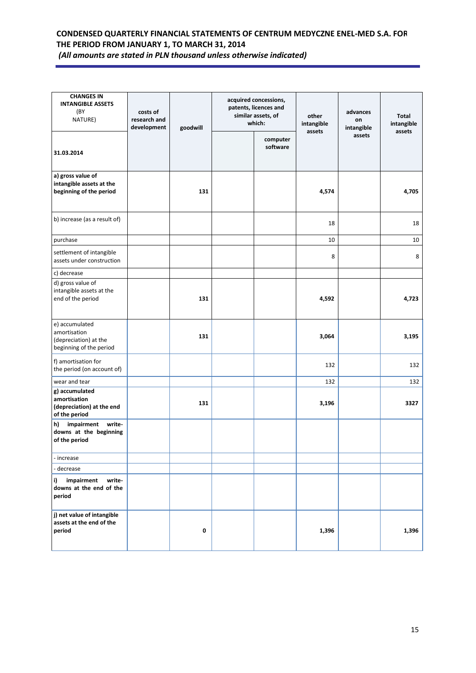| <b>CHANGES IN</b><br><b>INTANGIBLE ASSETS</b><br>(BY<br>NATURE)                    | costs of<br>research and<br>development | goodwill | acquired concessions,<br>patents, licences and<br>similar assets, of<br>which: | other<br>intangible | advances<br>on<br>intangible | <b>Total</b><br>intangible |
|------------------------------------------------------------------------------------|-----------------------------------------|----------|--------------------------------------------------------------------------------|---------------------|------------------------------|----------------------------|
| 31.03.2014                                                                         |                                         |          | computer<br>software                                                           | assets              | assets                       | assets                     |
| a) gross value of<br>intangible assets at the<br>beginning of the period           |                                         | 131      |                                                                                | 4,574               |                              | 4,705                      |
| b) increase (as a result of)                                                       |                                         |          |                                                                                | 18                  |                              | 18                         |
| purchase                                                                           |                                         |          |                                                                                | 10                  |                              | 10                         |
| settlement of intangible<br>assets under construction                              |                                         |          |                                                                                | 8                   |                              | 8                          |
| c) decrease                                                                        |                                         |          |                                                                                |                     |                              |                            |
| d) gross value of<br>intangible assets at the<br>end of the period                 |                                         | 131      |                                                                                | 4,592               |                              | 4,723                      |
| e) accumulated<br>amortisation<br>(depreciation) at the<br>beginning of the period |                                         | 131      |                                                                                | 3,064               |                              | 3,195                      |
| f) amortisation for<br>the period (on account of)                                  |                                         |          |                                                                                | 132                 |                              | 132                        |
| wear and tear                                                                      |                                         |          |                                                                                | 132                 |                              | 132                        |
| g) accumulated<br>amortisation<br>(depreciation) at the end<br>of the period       |                                         | 131      |                                                                                | 3,196               |                              | 3327                       |
| impairment write-<br>h)<br>downs at the beginning<br>of the period                 |                                         |          |                                                                                |                     |                              |                            |
| - increase                                                                         |                                         |          |                                                                                |                     |                              |                            |
| - decrease                                                                         |                                         |          |                                                                                |                     |                              |                            |
| impairment<br>i)<br>write-<br>downs at the end of the<br>period                    |                                         |          |                                                                                |                     |                              |                            |
| j) net value of intangible<br>assets at the end of the<br>period                   |                                         | 0        |                                                                                | 1,396               |                              | 1,396                      |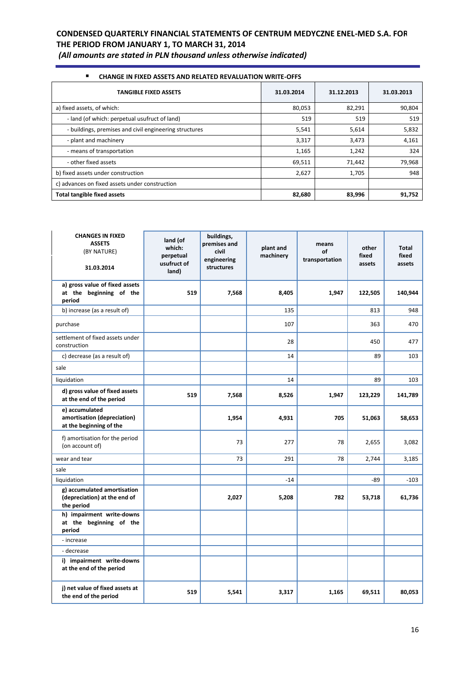*(All amounts are stated in PLN thousand unless otherwise indicated)*

| $\blacksquare$<br><b>CHANGE IN FIXED ASSETS AND RELATED REVALUATION WRITE-OFFS</b> |            |            |            |  |  |  |
|------------------------------------------------------------------------------------|------------|------------|------------|--|--|--|
| <b>TANGIBLE FIXED ASSETS</b>                                                       | 31.03.2014 | 31.12.2013 | 31.03.2013 |  |  |  |
| a) fixed assets, of which:                                                         | 80,053     | 82,291     | 90,804     |  |  |  |
| - land (of which: perpetual usufruct of land)                                      | 519        | 519        | 519        |  |  |  |
| - buildings, premises and civil engineering structures                             | 5,541      | 5,614      | 5,832      |  |  |  |
| - plant and machinery                                                              | 3,317      | 3,473      | 4,161      |  |  |  |
| - means of transportation                                                          | 1,165      | 1,242      | 324        |  |  |  |
| - other fixed assets                                                               | 69,511     | 71,442     | 79,968     |  |  |  |
| b) fixed assets under construction                                                 | 2,627      | 1,705      | 948        |  |  |  |
| c) advances on fixed assets under construction                                     |            |            |            |  |  |  |
| <b>Total tangible fixed assets</b>                                                 | 82,680     | 83,996     | 91,752     |  |  |  |

| <b>CHANGES IN FIXED</b><br><b>ASSETS</b><br>(BY NATURE)<br>31.03.2014     | land (of<br>which:<br>perpetual<br>usufruct of<br>land) | buildings,<br>premises and<br>civil<br>engineering<br>structures | plant and<br>machinery | means<br>of<br>transportation | other<br>fixed<br>assets | Total<br>fixed<br>assets |
|---------------------------------------------------------------------------|---------------------------------------------------------|------------------------------------------------------------------|------------------------|-------------------------------|--------------------------|--------------------------|
| a) gross value of fixed assets<br>at the beginning of the<br>period       | 519                                                     | 7,568                                                            | 8,405                  | 1,947                         | 122,505                  | 140,944                  |
| b) increase (as a result of)                                              |                                                         |                                                                  | 135                    |                               | 813                      | 948                      |
| purchase                                                                  |                                                         |                                                                  | 107                    |                               | 363                      | 470                      |
| settlement of fixed assets under<br>construction                          |                                                         |                                                                  | 28                     |                               | 450                      | 477                      |
| c) decrease (as a result of)                                              |                                                         |                                                                  | 14                     |                               | 89                       | 103                      |
| sale                                                                      |                                                         |                                                                  |                        |                               |                          |                          |
| liquidation                                                               |                                                         |                                                                  | 14                     |                               | 89                       | 103                      |
| d) gross value of fixed assets<br>at the end of the period                | 519                                                     | 7,568                                                            | 8,526                  | 1,947                         | 123,229                  | 141,789                  |
| e) accumulated<br>amortisation (depreciation)<br>at the beginning of the  |                                                         | 1,954                                                            | 4,931                  | 705                           | 51,063                   | 58,653                   |
| f) amortisation for the period<br>(on account of)                         |                                                         | 73                                                               | 277                    | 78                            | 2,655                    | 3,082                    |
| wear and tear                                                             |                                                         | 73                                                               | 291                    | 78                            | 2,744                    | 3,185                    |
| sale                                                                      |                                                         |                                                                  |                        |                               |                          |                          |
| liquidation                                                               |                                                         |                                                                  | $-14$                  |                               | -89                      | $-103$                   |
| g) accumulated amortisation<br>(depreciation) at the end of<br>the period |                                                         | 2,027                                                            | 5,208                  | 782                           | 53,718                   | 61,736                   |
| h) impairment write-downs<br>at the beginning of the<br>period            |                                                         |                                                                  |                        |                               |                          |                          |
| - increase                                                                |                                                         |                                                                  |                        |                               |                          |                          |
| - decrease                                                                |                                                         |                                                                  |                        |                               |                          |                          |
| i) impairment write-downs<br>at the end of the period                     |                                                         |                                                                  |                        |                               |                          |                          |
| j) net value of fixed assets at<br>the end of the period                  | 519                                                     | 5,541                                                            | 3,317                  | 1,165                         | 69,511                   | 80,053                   |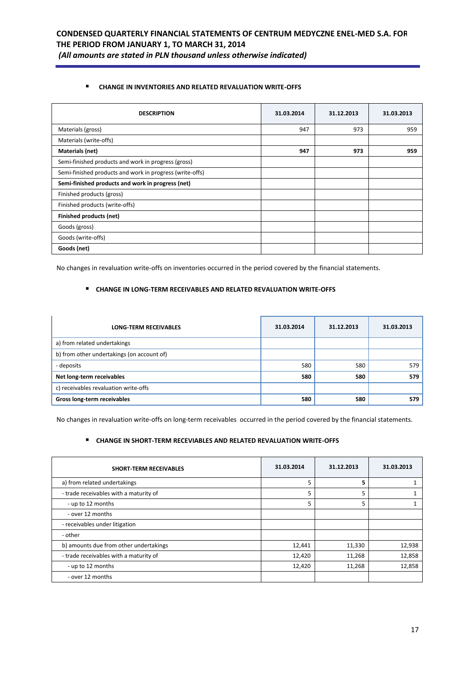### **CHANGE IN INVENTORIES AND RELATED REVALUATION WRITE-OFFS**

| <b>DESCRIPTION</b>                                       | 31.03.2014 | 31.12.2013 | 31.03.2013 |
|----------------------------------------------------------|------------|------------|------------|
| Materials (gross)                                        | 947        | 973        | 959        |
| Materials (write-offs)                                   |            |            |            |
| Materials (net)                                          | 947        | 973        | 959        |
| Semi-finished products and work in progress (gross)      |            |            |            |
| Semi-finished products and work in progress (write-offs) |            |            |            |
| Semi-finished products and work in progress (net)        |            |            |            |
| Finished products (gross)                                |            |            |            |
| Finished products (write-offs)                           |            |            |            |
| Finished products (net)                                  |            |            |            |
| Goods (gross)                                            |            |            |            |
| Goods (write-offs)                                       |            |            |            |
| Goods (net)                                              |            |            |            |

No changes in revaluation write-offs on inventories occurred in the period covered by the financial statements.

#### **CHANGE IN LONG-TERM RECEIVABLES AND RELATED REVALUATION WRITE-OFFS**

| <b>LONG-TERM RECEIVABLES</b>               | 31.03.2014 | 31.12.2013 | 31.03.2013 |
|--------------------------------------------|------------|------------|------------|
| a) from related undertakings               |            |            |            |
| b) from other undertakings (on account of) |            |            |            |
| - deposits                                 | 580        | 580        | 579        |
| Net long-term receivables                  | 580        | 580        | 579        |
| c) receivables revaluation write-offs      |            |            |            |
| Gross long-term receivables                | 580        | 580        | 579        |

No changes in revaluation write-offs on long-term receivables occurred in the period covered by the financial statements.

## **CHANGE IN SHORT-TERM RECEVIABLES AND RELATED REVALUATION WRITE-OFFS**

| <b>SHORT-TERM RECEIVABLES</b>          | 31.03.2014 | 31.12.2013 | 31.03.2013 |
|----------------------------------------|------------|------------|------------|
| a) from related undertakings           | 5          | 5          |            |
| - trade receivables with a maturity of | 5          | 5          |            |
| - up to 12 months                      | 5          | 5          |            |
| - over 12 months                       |            |            |            |
| - receivables under litigation         |            |            |            |
| - other                                |            |            |            |
| b) amounts due from other undertakings | 12,441     | 11,330     | 12,938     |
| - trade receivables with a maturity of | 12,420     | 11,268     | 12,858     |
| - up to 12 months                      | 12,420     | 11,268     | 12,858     |
| - over 12 months                       |            |            |            |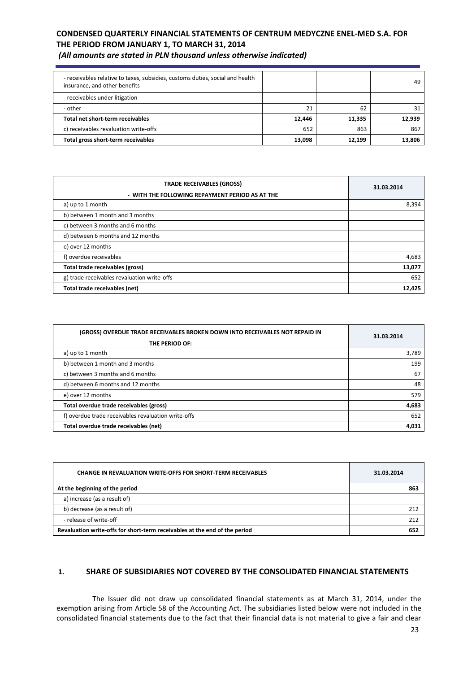*(All amounts are stated in PLN thousand unless otherwise indicated)*

| - receivables relative to taxes, subsidies, customs duties, social and health<br>insurance, and other benefits |        |        | 49     |
|----------------------------------------------------------------------------------------------------------------|--------|--------|--------|
| - receivables under litigation                                                                                 |        |        |        |
| - other                                                                                                        | 21     | 62     | 31     |
| Total net short-term receivables                                                                               | 12.446 | 11,335 | 12.939 |
| c) receivables revaluation write-offs                                                                          | 652    | 863    | 867    |
| Total gross short-term receivables                                                                             | 13,098 | 12.199 | 13.806 |

| <b>TRADE RECEIVABLES (GROSS)</b>                | 31.03.2014 |  |
|-------------------------------------------------|------------|--|
| - WITH THE FOLLOWING REPAYMENT PERIOD AS AT THE |            |  |
| a) up to 1 month                                | 8,394      |  |
| b) between 1 month and 3 months                 |            |  |
| c) between 3 months and 6 months                |            |  |
| d) between 6 months and 12 months               |            |  |
| e) over 12 months                               |            |  |
| f) overdue receivables                          | 4,683      |  |
| Total trade receivables (gross)                 | 13,077     |  |
| g) trade receivables revaluation write-offs     | 652        |  |
| Total trade receivables (net)                   | 12,425     |  |

| (GROSS) OVERDUE TRADE RECEIVABLES BROKEN DOWN INTO RECEIVABLES NOT REPAID IN<br>THE PERIOD OF: | 31.03.2014 |
|------------------------------------------------------------------------------------------------|------------|
| a) up to 1 month                                                                               | 3,789      |
| b) between 1 month and 3 months                                                                | 199        |
| c) between 3 months and 6 months                                                               | 67         |
| d) between 6 months and 12 months                                                              | 48         |
| e) over 12 months                                                                              | 579        |
| Total overdue trade receivables (gross)                                                        | 4,683      |
| f) overdue trade receivables revaluation write-offs                                            | 652        |
| Total overdue trade receivables (net)                                                          | 4,031      |

| <b>CHANGE IN REVALUATION WRITE-OFFS FOR SHORT-TERM RECEIVABLES</b>         | 31.03.2014 |  |
|----------------------------------------------------------------------------|------------|--|
| At the beginning of the period                                             | 863        |  |
| a) increase (as a result of)                                               |            |  |
| b) decrease (as a result of)                                               | 212        |  |
| - release of write-off                                                     |            |  |
| Revaluation write-offs for short-term receivables at the end of the period |            |  |

### **1. SHARE OF SUBSIDIARIES NOT COVERED BY THE CONSOLIDATED FINANCIAL STATEMENTS**

The Issuer did not draw up consolidated financial statements as at March 31, 2014, under the exemption arising from Article 58 of the Accounting Act. The subsidiaries listed below were not included in the consolidated financial statements due to the fact that their financial data is not material to give a fair and clear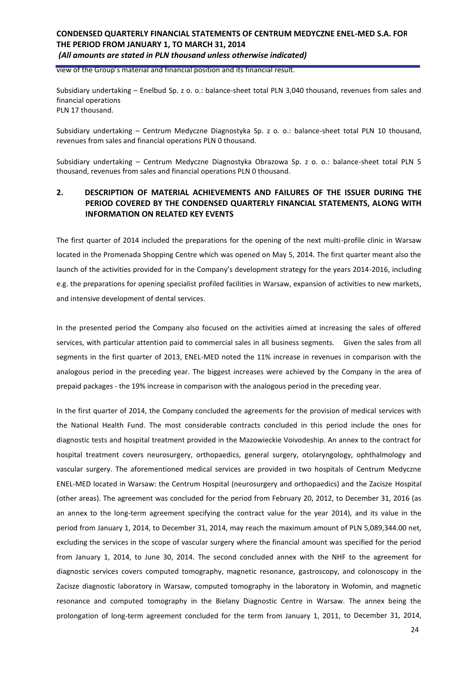view of the Group's material and financial position and its financial result.

Subsidiary undertaking – Enelbud Sp. z o. o.: balance-sheet total PLN 3,040 thousand, revenues from sales and financial operations PLN 17 thousand.

Subsidiary undertaking – Centrum Medyczne Diagnostyka Sp. z o. o.: balance-sheet total PLN 10 thousand, revenues from sales and financial operations PLN 0 thousand.

Subsidiary undertaking – Centrum Medyczne Diagnostyka Obrazowa Sp. z o. o.: balance-sheet total PLN 5 thousand, revenues from sales and financial operations PLN 0 thousand.

### **2. DESCRIPTION OF MATERIAL ACHIEVEMENTS AND FAILURES OF THE ISSUER DURING THE PERIOD COVERED BY THE CONDENSED QUARTERLY FINANCIAL STATEMENTS, ALONG WITH INFORMATION ON RELATED KEY EVENTS**

The first quarter of 2014 included the preparations for the opening of the next multi-profile clinic in Warsaw located in the Promenada Shopping Centre which was opened on May 5, 2014. The first quarter meant also the launch of the activities provided for in the Company's development strategy for the years 2014-2016, including e.g. the preparations for opening specialist profiled facilities in Warsaw, expansion of activities to new markets, and intensive development of dental services.

In the presented period the Company also focused on the activities aimed at increasing the sales of offered services, with particular attention paid to commercial sales in all business segments. Given the sales from all segments in the first quarter of 2013, ENEL-MED noted the 11% increase in revenues in comparison with the analogous period in the preceding year. The biggest increases were achieved by the Company in the area of prepaid packages - the 19% increase in comparison with the analogous period in the preceding year.

In the first quarter of 2014, the Company concluded the agreements for the provision of medical services with the National Health Fund. The most considerable contracts concluded in this period include the ones for diagnostic tests and hospital treatment provided in the Mazowieckie Voivodeship. An annex to the contract for hospital treatment covers neurosurgery, orthopaedics, general surgery, otolaryngology, ophthalmology and vascular surgery. The aforementioned medical services are provided in two hospitals of Centrum Medyczne ENEL-MED located in Warsaw: the Centrum Hospital (neurosurgery and orthopaedics) and the Zacisze Hospital (other areas). The agreement was concluded for the period from February 20, 2012, to December 31, 2016 (as an annex to the long-term agreement specifying the contract value for the year 2014), and its value in the period from January 1, 2014, to December 31, 2014, may reach the maximum amount of PLN 5,089,344.00 net, excluding the services in the scope of vascular surgery where the financial amount was specified for the period from January 1, 2014, to June 30, 2014. The second concluded annex with the NHF to the agreement for diagnostic services covers computed tomography, magnetic resonance, gastroscopy, and colonoscopy in the Zacisze diagnostic laboratory in Warsaw, computed tomography in the laboratory in Wołomin, and magnetic resonance and computed tomography in the Bielany Diagnostic Centre in Warsaw. The annex being the prolongation of long-term agreement concluded for the term from January 1, 2011, to December 31, 2014,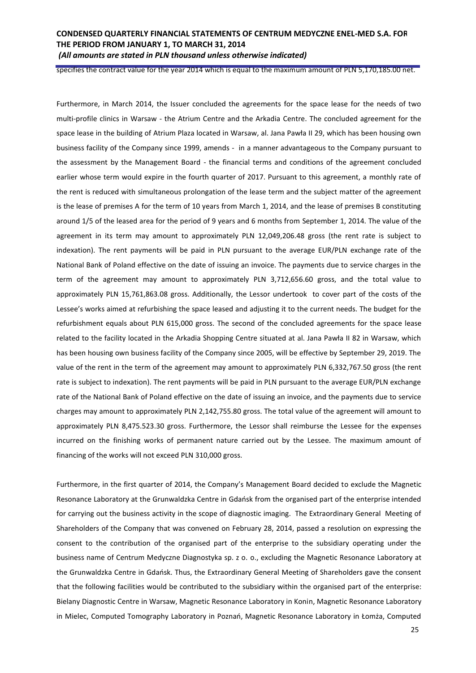specifies the contract value for the year 2014 which is equal to the maximum amount of PLN 5,170,185.00 net.

Furthermore, in March 2014, the Issuer concluded the agreements for the space lease for the needs of two multi-profile clinics in Warsaw - the Atrium Centre and the Arkadia Centre. The concluded agreement for the space lease in the building of Atrium Plaza located in Warsaw, al. Jana Pawła II 29, which has been housing own business facility of the Company since 1999, amends - in a manner advantageous to the Company pursuant to the assessment by the Management Board - the financial terms and conditions of the agreement concluded earlier whose term would expire in the fourth quarter of 2017. Pursuant to this agreement, a monthly rate of the rent is reduced with simultaneous prolongation of the lease term and the subject matter of the agreement is the lease of premises A for the term of 10 years from March 1, 2014, and the lease of premises B constituting around 1/5 of the leased area for the period of 9 years and 6 months from September 1, 2014. The value of the agreement in its term may amount to approximately PLN 12,049,206.48 gross (the rent rate is subject to indexation). The rent payments will be paid in PLN pursuant to the average EUR/PLN exchange rate of the National Bank of Poland effective on the date of issuing an invoice. The payments due to service charges in the term of the agreement may amount to approximately PLN 3,712,656.60 gross, and the total value to approximately PLN 15,761,863.08 gross. Additionally, the Lessor undertook to cover part of the costs of the Lessee's works aimed at refurbishing the space leased and adjusting it to the current needs. The budget for the refurbishment equals about PLN 615,000 gross. The second of the concluded agreements for the space lease related to the facility located in the Arkadia Shopping Centre situated at al. Jana Pawła II 82 in Warsaw, which has been housing own business facility of the Company since 2005, will be effective by September 29, 2019. The value of the rent in the term of the agreement may amount to approximately PLN 6,332,767.50 gross (the rent rate is subject to indexation). The rent payments will be paid in PLN pursuant to the average EUR/PLN exchange rate of the National Bank of Poland effective on the date of issuing an invoice, and the payments due to service charges may amount to approximately PLN 2,142,755.80 gross. The total value of the agreement will amount to approximately PLN 8,475.523.30 gross. Furthermore, the Lessor shall reimburse the Lessee for the expenses incurred on the finishing works of permanent nature carried out by the Lessee. The maximum amount of financing of the works will not exceed PLN 310,000 gross.

Furthermore, in the first quarter of 2014, the Company's Management Board decided to exclude the Magnetic Resonance Laboratory at the Grunwaldzka Centre in Gdańsk from the organised part of the enterprise intended for carrying out the business activity in the scope of diagnostic imaging. The Extraordinary General Meeting of Shareholders of the Company that was convened on February 28, 2014, passed a resolution on expressing the consent to the contribution of the organised part of the enterprise to the subsidiary operating under the business name of Centrum Medyczne Diagnostyka sp. z o. o., excluding the Magnetic Resonance Laboratory at the Grunwaldzka Centre in Gdańsk. Thus, the Extraordinary General Meeting of Shareholders gave the consent that the following facilities would be contributed to the subsidiary within the organised part of the enterprise: Bielany Diagnostic Centre in Warsaw, Magnetic Resonance Laboratory in Konin, Magnetic Resonance Laboratory in Mielec, Computed Tomography Laboratory in Poznań, Magnetic Resonance Laboratory in Łomża, Computed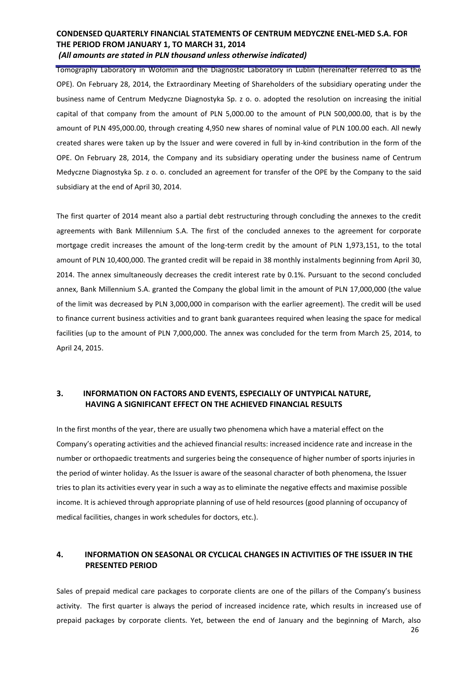Tomography Laboratory in Wołomin and the Diagnostic Laboratory in Lublin (hereinafter referred to as the OPE). On February 28, 2014, the Extraordinary Meeting of Shareholders of the subsidiary operating under the business name of Centrum Medyczne Diagnostyka Sp. z o. o. adopted the resolution on increasing the initial capital of that company from the amount of PLN 5,000.00 to the amount of PLN 500,000.00, that is by the amount of PLN 495,000.00, through creating 4,950 new shares of nominal value of PLN 100.00 each. All newly created shares were taken up by the Issuer and were covered in full by in-kind contribution in the form of the OPE. On February 28, 2014, the Company and its subsidiary operating under the business name of Centrum Medyczne Diagnostyka Sp. z o. o. concluded an agreement for transfer of the OPE by the Company to the said subsidiary at the end of April 30, 2014.

The first quarter of 2014 meant also a partial debt restructuring through concluding the annexes to the credit agreements with Bank Millennium S.A. The first of the concluded annexes to the agreement for corporate mortgage credit increases the amount of the long-term credit by the amount of PLN 1,973,151, to the total amount of PLN 10,400,000. The granted credit will be repaid in 38 monthly instalments beginning from April 30, 2014. The annex simultaneously decreases the credit interest rate by 0.1%. Pursuant to the second concluded annex, Bank Millennium S.A. granted the Company the global limit in the amount of PLN 17,000,000 (the value of the limit was decreased by PLN 3,000,000 in comparison with the earlier agreement). The credit will be used to finance current business activities and to grant bank guarantees required when leasing the space for medical facilities (up to the amount of PLN 7,000,000. The annex was concluded for the term from March 25, 2014, to April 24, 2015.

### **3. INFORMATION ON FACTORS AND EVENTS, ESPECIALLY OF UNTYPICAL NATURE, HAVING A SIGNIFICANT EFFECT ON THE ACHIEVED FINANCIAL RESULTS**

In the first months of the year, there are usually two phenomena which have a material effect on the Company's operating activities and the achieved financial results: increased incidence rate and increase in the number or orthopaedic treatments and surgeries being the consequence of higher number of sports injuries in the period of winter holiday. As the Issuer is aware of the seasonal character of both phenomena, the Issuer tries to plan its activities every year in such a way as to eliminate the negative effects and maximise possible income. It is achieved through appropriate planning of use of held resources (good planning of occupancy of medical facilities, changes in work schedules for doctors, etc.).

## **4. INFORMATION ON SEASONAL OR CYCLICAL CHANGES IN ACTIVITIES OF THE ISSUER IN THE PRESENTED PERIOD**

Sales of prepaid medical care packages to corporate clients are one of the pillars of the Company's business activity. The first quarter is always the period of increased incidence rate, which results in increased use of prepaid packages by corporate clients. Yet, between the end of January and the beginning of March, also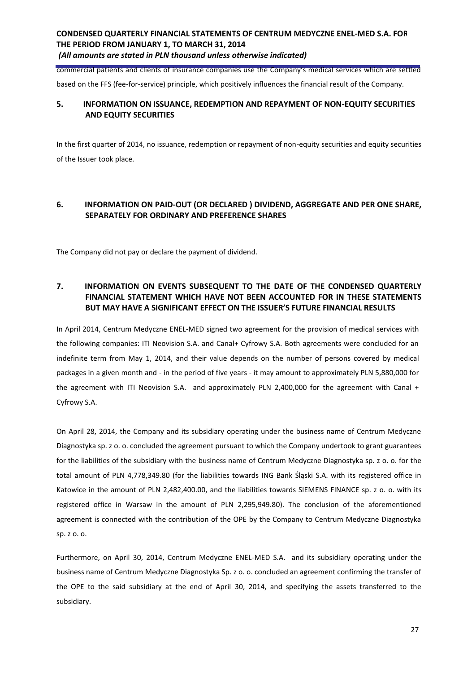commercial patients and clients of insurance companies use the Company's medical services which are settled based on the FFS (fee-for-service) principle, which positively influences the financial result of the Company.

## **5. INFORMATION ON ISSUANCE, REDEMPTION AND REPAYMENT OF NON-EQUITY SECURITIES AND EQUITY SECURITIES**

In the first quarter of 2014, no issuance, redemption or repayment of non-equity securities and equity securities of the Issuer took place.

### **6. INFORMATION ON PAID-OUT (OR DECLARED ) DIVIDEND, AGGREGATE AND PER ONE SHARE, SEPARATELY FOR ORDINARY AND PREFERENCE SHARES**

The Company did not pay or declare the payment of dividend.

## **7. INFORMATION ON EVENTS SUBSEQUENT TO THE DATE OF THE CONDENSED QUARTERLY FINANCIAL STATEMENT WHICH HAVE NOT BEEN ACCOUNTED FOR IN THESE STATEMENTS BUT MAY HAVE A SIGNIFICANT EFFECT ON THE ISSUER'S FUTURE FINANCIAL RESULTS**

In April 2014, Centrum Medyczne ENEL-MED signed two agreement for the provision of medical services with the following companies: ITI Neovision S.A. and Canal+ Cyfrowy S.A. Both agreements were concluded for an indefinite term from May 1, 2014, and their value depends on the number of persons covered by medical packages in a given month and - in the period of five years - it may amount to approximately PLN 5,880,000 for the agreement with ITI Neovision S.A. and approximately PLN 2,400,000 for the agreement with Canal + Cyfrowy S.A.

On April 28, 2014, the Company and its subsidiary operating under the business name of Centrum Medyczne Diagnostyka sp. z o. o. concluded the agreement pursuant to which the Company undertook to grant guarantees for the liabilities of the subsidiary with the business name of Centrum Medyczne Diagnostyka sp. z o. o. for the total amount of PLN 4,778,349.80 (for the liabilities towards ING Bank Śląski S.A. with its registered office in Katowice in the amount of PLN 2,482,400.00, and the liabilities towards SIEMENS FINANCE sp. z o. o. with its registered office in Warsaw in the amount of PLN 2,295,949.80). The conclusion of the aforementioned agreement is connected with the contribution of the OPE by the Company to Centrum Medyczne Diagnostyka sp. z o. o.

Furthermore, on April 30, 2014, Centrum Medyczne ENEL-MED S.A. and its subsidiary operating under the business name of Centrum Medyczne Diagnostyka Sp. z o. o. concluded an agreement confirming the transfer of the OPE to the said subsidiary at the end of April 30, 2014, and specifying the assets transferred to the subsidiary.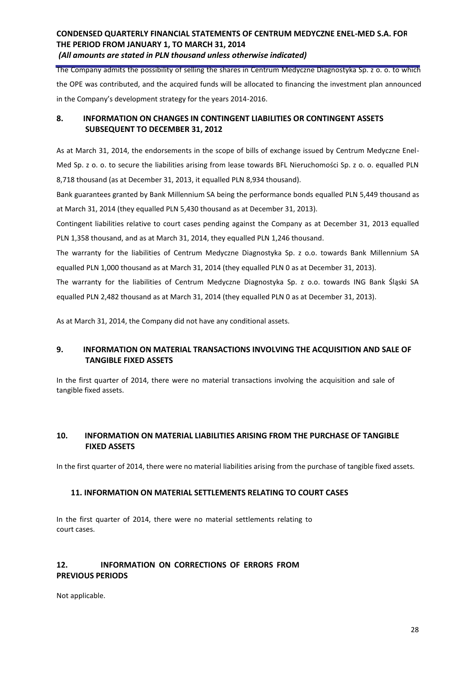The Company admits the possibility of selling the shares in Centrum Medyczne Diagnostyka Sp. z o. o. to which the OPE was contributed, and the acquired funds will be allocated to financing the investment plan announced in the Company's development strategy for the years 2014-2016.

## **8. INFORMATION ON CHANGES IN CONTINGENT LIABILITIES OR CONTINGENT ASSETS SUBSEQUENT TO DECEMBER 31, 2012**

As at March 31, 2014, the endorsements in the scope of bills of exchange issued by Centrum Medyczne Enel-Med Sp. z o. o. to secure the liabilities arising from lease towards BFL Nieruchomości Sp. z o. o. equalled PLN 8,718 thousand (as at December 31, 2013, it equalled PLN 8,934 thousand).

Bank guarantees granted by Bank Millennium SA being the performance bonds equalled PLN 5,449 thousand as at March 31, 2014 (they equalled PLN 5,430 thousand as at December 31, 2013).

Contingent liabilities relative to court cases pending against the Company as at December 31, 2013 equalled PLN 1,358 thousand, and as at March 31, 2014, they equalled PLN 1,246 thousand.

The warranty for the liabilities of Centrum Medyczne Diagnostyka Sp. z o.o. towards Bank Millennium SA equalled PLN 1,000 thousand as at March 31, 2014 (they equalled PLN 0 as at December 31, 2013).

The warranty for the liabilities of Centrum Medyczne Diagnostyka Sp. z o.o. towards ING Bank Śląski SA equalled PLN 2,482 thousand as at March 31, 2014 (they equalled PLN 0 as at December 31, 2013).

As at March 31, 2014, the Company did not have any conditional assets.

## **9. INFORMATION ON MATERIAL TRANSACTIONS INVOLVING THE ACQUISITION AND SALE OF TANGIBLE FIXED ASSETS**

In the first quarter of 2014, there were no material transactions involving the acquisition and sale of tangible fixed assets.

## **10. INFORMATION ON MATERIAL LIABILITIES ARISING FROM THE PURCHASE OF TANGIBLE FIXED ASSETS**

In the first quarter of 2014, there were no material liabilities arising from the purchase of tangible fixed assets.

### **11. INFORMATION ON MATERIAL SETTLEMENTS RELATING TO COURT CASES**

In the first quarter of 2014, there were no material settlements relating to court cases.

## **12. INFORMATION ON CORRECTIONS OF ERRORS FROM PREVIOUS PERIODS**

Not applicable.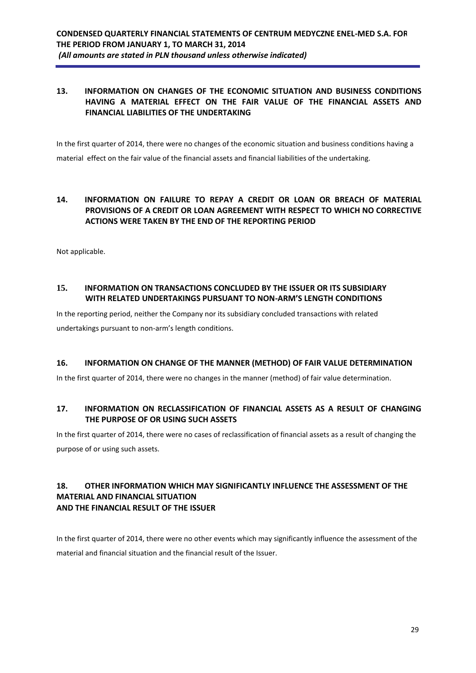## **13. INFORMATION ON CHANGES OF THE ECONOMIC SITUATION AND BUSINESS CONDITIONS HAVING A MATERIAL EFFECT ON THE FAIR VALUE OF THE FINANCIAL ASSETS AND FINANCIAL LIABILITIES OF THE UNDERTAKING**

In the first quarter of 2014, there were no changes of the economic situation and business conditions having a material effect on the fair value of the financial assets and financial liabilities of the undertaking.

## **14. INFORMATION ON FAILURE TO REPAY A CREDIT OR LOAN OR BREACH OF MATERIAL PROVISIONS OF A CREDIT OR LOAN AGREEMENT WITH RESPECT TO WHICH NO CORRECTIVE ACTIONS WERE TAKEN BY THE END OF THE REPORTING PERIOD**

Not applicable.

## **15. INFORMATION ON TRANSACTIONS CONCLUDED BY THE ISSUER OR ITS SUBSIDIARY WITH RELATED UNDERTAKINGS PURSUANT TO NON-ARM'S LENGTH CONDITIONS**

In the reporting period, neither the Company nor its subsidiary concluded transactions with related undertakings pursuant to non-arm's length conditions.

### **16. INFORMATION ON CHANGE OF THE MANNER (METHOD) OF FAIR VALUE DETERMINATION**

In the first quarter of 2014, there were no changes in the manner (method) of fair value determination.

### **17. INFORMATION ON RECLASSIFICATION OF FINANCIAL ASSETS AS A RESULT OF CHANGING THE PURPOSE OF OR USING SUCH ASSETS**

In the first quarter of 2014, there were no cases of reclassification of financial assets as a result of changing the purpose of or using such assets.

## **18. OTHER INFORMATION WHICH MAY SIGNIFICANTLY INFLUENCE THE ASSESSMENT OF THE MATERIAL AND FINANCIAL SITUATION AND THE FINANCIAL RESULT OF THE ISSUER**

In the first quarter of 2014, there were no other events which may significantly influence the assessment of the material and financial situation and the financial result of the Issuer.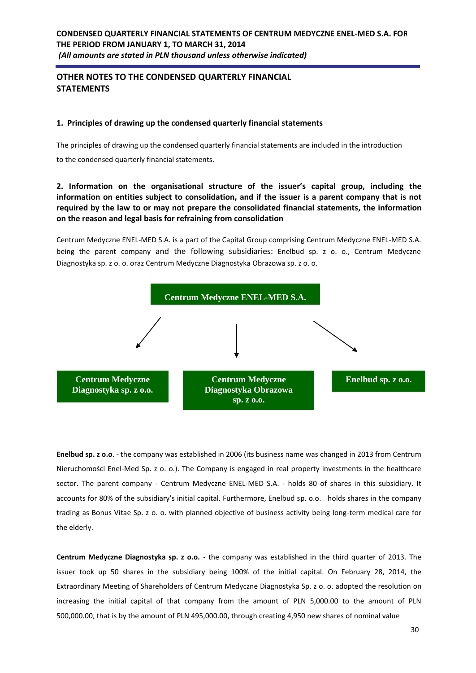# **OTHER NOTES TO THE CONDENSED QUARTERLY FINANCIAL STATEMENTS**

### **1. Principles of drawing up the condensed quarterly financial statements**

The principles of drawing up the condensed quarterly financial statements are included in the introduction

to the condensed quarterly financial statements.

## **2. Information on the organisational structure of the issuer's capital group, including the information on entities subject to consolidation, and if the issuer is a parent company that is not required by the law to or may not prepare the consolidated financial statements, the information on the reason and legal basis for refraining from consolidation**

Centrum Medyczne ENEL-MED S.A. is a part of the Capital Group comprising Centrum Medyczne ENEL-MED S.A. being the parent company and the following subsidiaries: Enelbud sp. z o. o., Centrum Medyczne Diagnostyka sp. z o. o. oraz Centrum Medyczne Diagnostyka Obrazowa sp. z o. o.



**Enelbud sp. z o.o**. - the company was established in 2006 (its business name was changed in 2013 from Centrum Nieruchomości Enel-Med Sp. z o. o.). The Company is engaged in real property investments in the healthcare sector. The parent company - Centrum Medyczne ENEL-MED S.A. - holds 80 of shares in this subsidiary. It accounts for 80% of the subsidiary's initial capital. Furthermore, Enelbud sp. o.o. holds shares in the company trading as Bonus Vitae Sp. z o. o. with planned objective of business activity being long-term medical care for the elderly.

**Centrum Medyczne Diagnostyka sp. z o.o.** - the company was established in the third quarter of 2013. The issuer took up 50 shares in the subsidiary being 100% of the initial capital. On February 28, 2014, the Extraordinary Meeting of Shareholders of Centrum Medyczne Diagnostyka Sp. z o. o. adopted the resolution on increasing the initial capital of that company from the amount of PLN 5,000.00 to the amount of PLN 500,000.00, that is by the amount of PLN 495,000.00, through creating 4,950 new shares of nominal value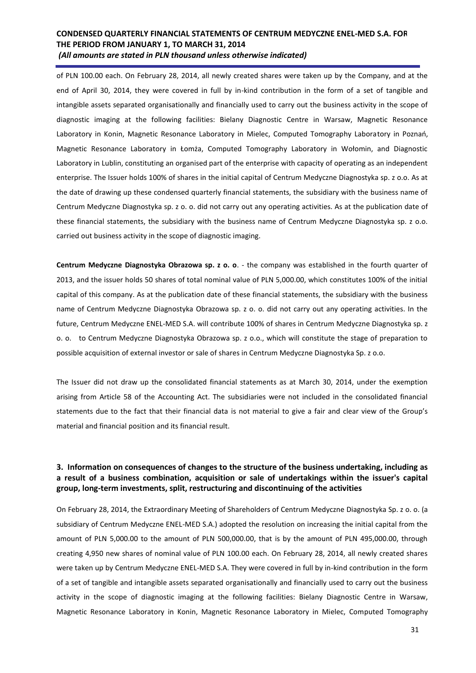of PLN 100.00 each. On February 28, 2014, all newly created shares were taken up by the Company, and at the end of April 30, 2014, they were covered in full by in-kind contribution in the form of a set of tangible and intangible assets separated organisationally and financially used to carry out the business activity in the scope of diagnostic imaging at the following facilities: Bielany Diagnostic Centre in Warsaw, Magnetic Resonance Laboratory in Konin, Magnetic Resonance Laboratory in Mielec, Computed Tomography Laboratory in Poznań, Magnetic Resonance Laboratory in Łomża, Computed Tomography Laboratory in Wołomin, and Diagnostic Laboratory in Lublin, constituting an organised part of the enterprise with capacity of operating as an independent enterprise. The Issuer holds 100% of shares in the initial capital of Centrum Medyczne Diagnostyka sp. z o.o. As at the date of drawing up these condensed quarterly financial statements, the subsidiary with the business name of Centrum Medyczne Diagnostyka sp. z o. o. did not carry out any operating activities. As at the publication date of these financial statements, the subsidiary with the business name of Centrum Medyczne Diagnostyka sp. z o.o. carried out business activity in the scope of diagnostic imaging.

**Centrum Medyczne Diagnostyka Obrazowa sp. z o. o**. - the company was established in the fourth quarter of 2013, and the issuer holds 50 shares of total nominal value of PLN 5,000.00, which constitutes 100% of the initial capital of this company. As at the publication date of these financial statements, the subsidiary with the business name of Centrum Medyczne Diagnostyka Obrazowa sp. z o. o. did not carry out any operating activities. In the future, Centrum Medyczne ENEL-MED S.A. will contribute 100% of shares in Centrum Medyczne Diagnostyka sp. z o. o. to Centrum Medyczne Diagnostyka Obrazowa sp. z o.o., which will constitute the stage of preparation to possible acquisition of external investor or sale of shares in Centrum Medyczne Diagnostyka Sp. z o.o.

The Issuer did not draw up the consolidated financial statements as at March 30, 2014, under the exemption arising from Article 58 of the Accounting Act. The subsidiaries were not included in the consolidated financial statements due to the fact that their financial data is not material to give a fair and clear view of the Group's material and financial position and its financial result.

## **3. Information on consequences of changes to the structure of the business undertaking, including as a result of a business combination, acquisition or sale of undertakings within the issuer's capital group, long-term investments, split, restructuring and discontinuing of the activities**

On February 28, 2014, the Extraordinary Meeting of Shareholders of Centrum Medyczne Diagnostyka Sp. z o. o. (a subsidiary of Centrum Medyczne ENEL-MED S.A.) adopted the resolution on increasing the initial capital from the amount of PLN 5,000.00 to the amount of PLN 500,000.00, that is by the amount of PLN 495,000.00, through creating 4,950 new shares of nominal value of PLN 100.00 each. On February 28, 2014, all newly created shares were taken up by Centrum Medyczne ENEL-MED S.A. They were covered in full by in-kind contribution in the form of a set of tangible and intangible assets separated organisationally and financially used to carry out the business activity in the scope of diagnostic imaging at the following facilities: Bielany Diagnostic Centre in Warsaw, Magnetic Resonance Laboratory in Konin, Magnetic Resonance Laboratory in Mielec, Computed Tomography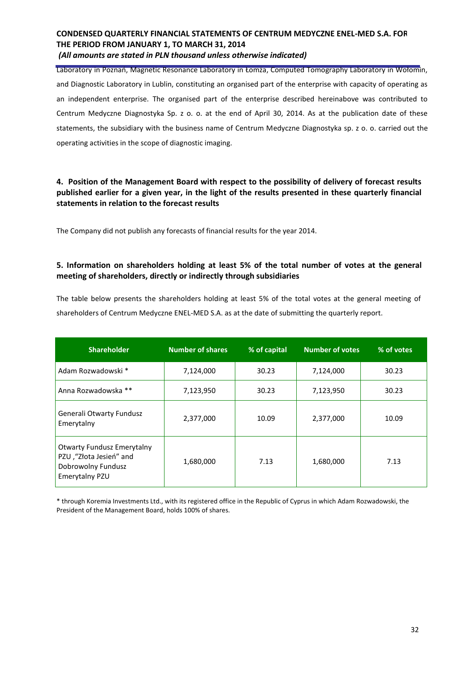*(All amounts are stated in PLN thousand unless otherwise indicated)*

Laboratory in Poznań, Magnetic Resonance Laboratory in Łomża, Computed Tomography Laboratory in Wołomin, and Diagnostic Laboratory in Lublin, constituting an organised part of the enterprise with capacity of operating as an independent enterprise. The organised part of the enterprise described hereinabove was contributed to Centrum Medyczne Diagnostyka Sp. z o. o. at the end of April 30, 2014. As at the publication date of these statements, the subsidiary with the business name of Centrum Medyczne Diagnostyka sp. z o. o. carried out the operating activities in the scope of diagnostic imaging.

## **4. Position of the Management Board with respect to the possibility of delivery of forecast results published earlier for a given year, in the light of the results presented in these quarterly financial statements in relation to the forecast results**

The Company did not publish any forecasts of financial results for the year 2014.

## **5. Information on shareholders holding at least 5% of the total number of votes at the general meeting of shareholders, directly or indirectly through subsidiaries**

The table below presents the shareholders holding at least 5% of the total votes at the general meeting of shareholders of Centrum Medyczne ENEL-MED S.A. as at the date of submitting the quarterly report.

| <b>Shareholder</b>                                                                                   | <b>Number of shares</b> | % of capital | <b>Number of votes</b> | % of votes |
|------------------------------------------------------------------------------------------------------|-------------------------|--------------|------------------------|------------|
| Adam Rozwadowski *                                                                                   | 7,124,000               | 30.23        | 7,124,000              | 30.23      |
| Anna Rozwadowska **                                                                                  | 7,123,950               | 30.23        | 7,123,950              | 30.23      |
| Generali Otwarty Fundusz<br>Emerytalny                                                               | 2,377,000               | 10.09        | 2,377,000              | 10.09      |
| <b>Otwarty Fundusz Emerytalny</b><br>PZU, "Złota Jesień" and<br>Dobrowolny Fundusz<br>Emerytalny PZU | 1,680,000               | 7.13         | 1,680,000              | 7.13       |

\* through Koremia Investments Ltd., with its registered office in the Republic of Cyprus in which Adam Rozwadowski, the President of the Management Board, holds 100% of shares.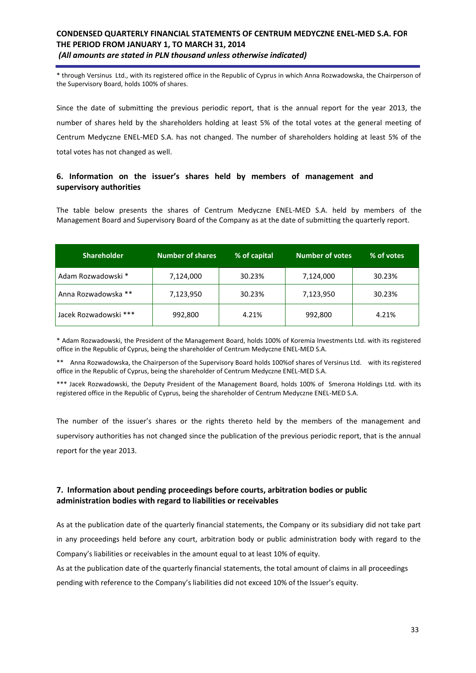\* through Versinus Ltd., with its registered office in the Republic of Cyprus in which Anna Rozwadowska, the Chairperson of the Supervisory Board, holds 100% of shares.

Since the date of submitting the previous periodic report, that is the annual report for the year 2013, the number of shares held by the shareholders holding at least 5% of the total votes at the general meeting of Centrum Medyczne ENEL-MED S.A. has not changed. The number of shareholders holding at least 5% of the total votes has not changed as well.

### **6. Information on the issuer's shares held by members of management and supervisory authorities**

The table below presents the shares of Centrum Medyczne ENEL-MED S.A. held by members of the Management Board and Supervisory Board of the Company as at the date of submitting the quarterly report.

| <b>Shareholder</b>    | <b>Number of shares</b> | % of capital | <b>Number of votes</b> | % of votes |
|-----------------------|-------------------------|--------------|------------------------|------------|
| Adam Rozwadowski *    | 7,124,000               | 30.23%       | 7,124,000              | 30.23%     |
| Anna Rozwadowska **   | 7,123,950               | 30.23%       | 7,123,950              | 30.23%     |
| Jacek Rozwadowski *** | 992,800                 | 4.21%        | 992,800                | 4.21%      |

\* Adam Rozwadowski, the President of the Management Board, holds 100% of Koremia Investments Ltd. with its registered office in the Republic of Cyprus, being the shareholder of Centrum Medyczne ENEL-MED S.A.

\*\* Anna Rozwadowska, the Chairperson of the Supervisory Board holds 100%of shares of Versinus Ltd. with its registered office in the Republic of Cyprus, being the shareholder of Centrum Medyczne ENEL-MED S.A.

\*\*\* Jacek Rozwadowski, the Deputy President of the Management Board, holds 100% of Smerona Holdings Ltd. with its registered office in the Republic of Cyprus, being the shareholder of Centrum Medyczne ENEL-MED S.A.

The number of the issuer's shares or the rights thereto held by the members of the management and supervisory authorities has not changed since the publication of the previous periodic report, that is the annual report for the year 2013.

### **7. Information about pending proceedings before courts, arbitration bodies or public administration bodies with regard to liabilities or receivables**

As at the publication date of the quarterly financial statements, the Company or its subsidiary did not take part in any proceedings held before any court, arbitration body or public administration body with regard to the Company's liabilities or receivables in the amount equal to at least 10% of equity.

As at the publication date of the quarterly financial statements, the total amount of claims in all proceedings pending with reference to the Company's liabilities did not exceed 10% of the Issuer's equity.